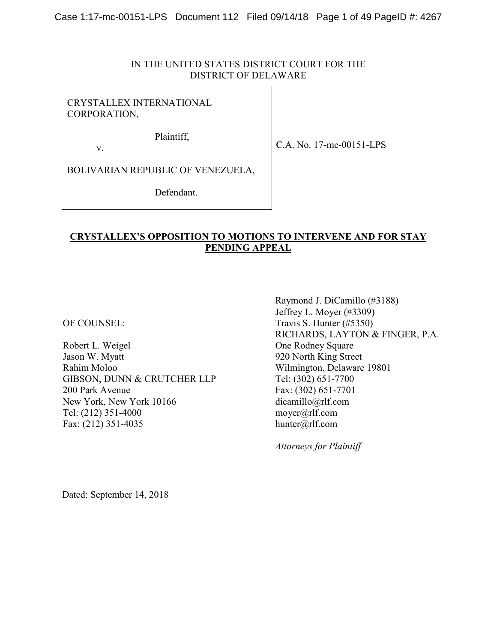## IN THE UNITED STATES DISTRICT COURT FOR THE DISTRICT OF DELAWARE

## CRYSTALLEX INTERNATIONAL CORPORATION,

Plaintiff,

C.A. No. 17-mc-00151-LPS

BOLIVARIAN REPUBLIC OF VENEZUELA,

Defendant.

## **CRYSTALLEX'S OPPOSITION TO MOTIONS TO INTERVENE AND FOR STAY PENDING APPEAL**

OF COUNSEL:

v.

Robert L. Weigel Jason W. Myatt Rahim Moloo GIBSON, DUNN & CRUTCHER LLP 200 Park Avenue New York, New York 10166 Tel: (212) 351-4000 Fax: (212) 351-4035

Raymond J. DiCamillo (#3188) Jeffrey L. Moyer (#3309) Travis S. Hunter (#5350) RICHARDS, LAYTON & FINGER, P.A. One Rodney Square 920 North King Street Wilmington, Delaware 19801 Tel: (302) 651-7700 Fax: (302) 651-7701 [dicamillo@rlf.com](mailto:dicamillo@rlf.com) [moyer@rlf.com](mailto:moyer@rlf.com) hunter@rlf.com

*Attorneys for Plaintiff*

Dated: September 14, 2018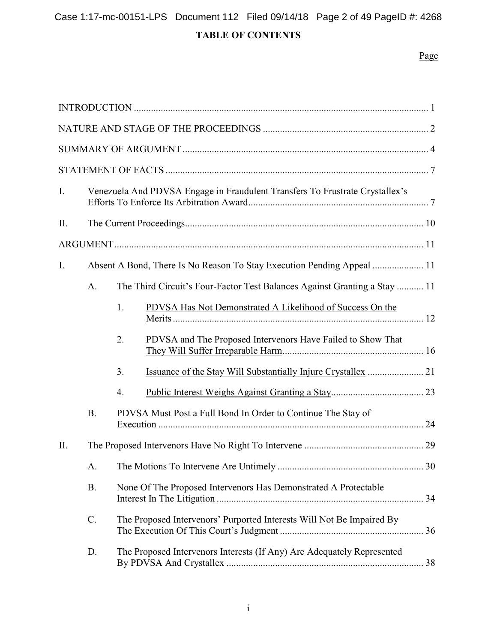# Case 1:17-mc-00151-LPS Document 112 Filed 09/14/18 Page 2 of 49 PageID #: 4268

# **TABLE OF CONTENTS**

# Page

| I.  |                                                                                 | Venezuela And PDVSA Engage in Fraudulent Transfers To Frustrate Crystallex's |                                                                        |  |  |  |
|-----|---------------------------------------------------------------------------------|------------------------------------------------------------------------------|------------------------------------------------------------------------|--|--|--|
| II. |                                                                                 |                                                                              |                                                                        |  |  |  |
|     |                                                                                 |                                                                              |                                                                        |  |  |  |
| I.  | Absent A Bond, There Is No Reason To Stay Execution Pending Appeal  11          |                                                                              |                                                                        |  |  |  |
|     | The Third Circuit's Four-Factor Test Balances Against Granting a Stay  11<br>A. |                                                                              |                                                                        |  |  |  |
|     |                                                                                 | 1.                                                                           | PDVSA Has Not Demonstrated A Likelihood of Success On the              |  |  |  |
|     |                                                                                 | 2.                                                                           | PDVSA and The Proposed Intervenors Have Failed to Show That            |  |  |  |
|     |                                                                                 | 3.                                                                           |                                                                        |  |  |  |
|     |                                                                                 | 4.                                                                           |                                                                        |  |  |  |
|     | <b>B.</b>                                                                       | PDVSA Must Post a Full Bond In Order to Continue The Stay of                 |                                                                        |  |  |  |
| II. |                                                                                 |                                                                              |                                                                        |  |  |  |
|     | A.                                                                              |                                                                              |                                                                        |  |  |  |
|     | <b>B.</b>                                                                       | None Of The Proposed Intervenors Has Demonstrated A Protectable              |                                                                        |  |  |  |
|     | C.                                                                              | The Proposed Intervenors' Purported Interests Will Not Be Impaired By        |                                                                        |  |  |  |
|     | D.                                                                              |                                                                              | The Proposed Intervenors Interests (If Any) Are Adequately Represented |  |  |  |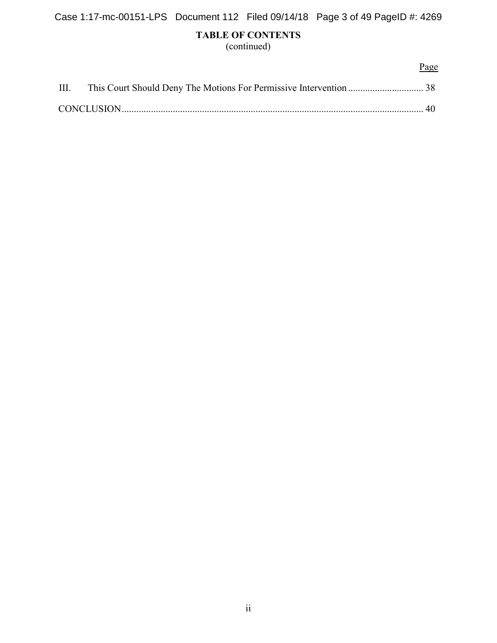# **TABLE OF CONTENTS**

(continued)

|  | Page |
|--|------|
|  |      |
|  |      |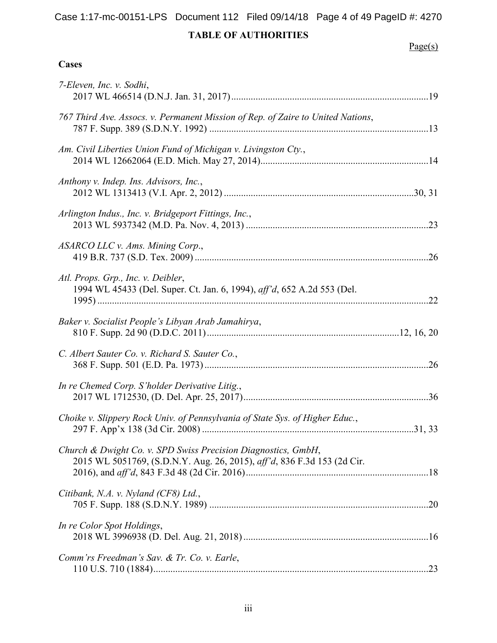# Case 1:17-mc-00151-LPS Document 112 Filed 09/14/18 Page 4 of 49 PageID #: 4270

# **TABLE OF AUTHORITIES**

# $Page(s)$

# **Cases**

| 7-Eleven, Inc. v. Sodhi,                                                                                                                 |  |
|------------------------------------------------------------------------------------------------------------------------------------------|--|
| 767 Third Ave. Assocs. v. Permanent Mission of Rep. of Zaire to United Nations,                                                          |  |
| Am. Civil Liberties Union Fund of Michigan v. Livingston Cty.,                                                                           |  |
| Anthony v. Indep. Ins. Advisors, Inc.,                                                                                                   |  |
| Arlington Indus., Inc. v. Bridgeport Fittings, Inc.,                                                                                     |  |
| ASARCO LLC v. Ams. Mining Corp.,                                                                                                         |  |
| Atl. Props. Grp., Inc. v. Deibler,<br>1994 WL 45433 (Del. Super. Ct. Jan. 6, 1994), aff'd, 652 A.2d 553 (Del.                            |  |
| Baker v. Socialist People's Libyan Arab Jamahirya,                                                                                       |  |
| C. Albert Sauter Co. v. Richard S. Sauter Co.,                                                                                           |  |
| In re Chemed Corp. S'holder Derivative Litig.,                                                                                           |  |
| Choike v. Slippery Rock Univ. of Pennsylvania of State Sys. of Higher Educ.,                                                             |  |
| Church & Dwight Co. v. SPD Swiss Precision Diagnostics, GmbH,<br>2015 WL 5051769, (S.D.N.Y. Aug. 26, 2015), aff'd, 836 F.3d 153 (2d Cir. |  |
| Citibank, N.A. v. Nyland (CF8) Ltd.,                                                                                                     |  |
| In re Color Spot Holdings,                                                                                                               |  |
| Comm'rs Freedman's Sav. & Tr. Co. v. Earle,                                                                                              |  |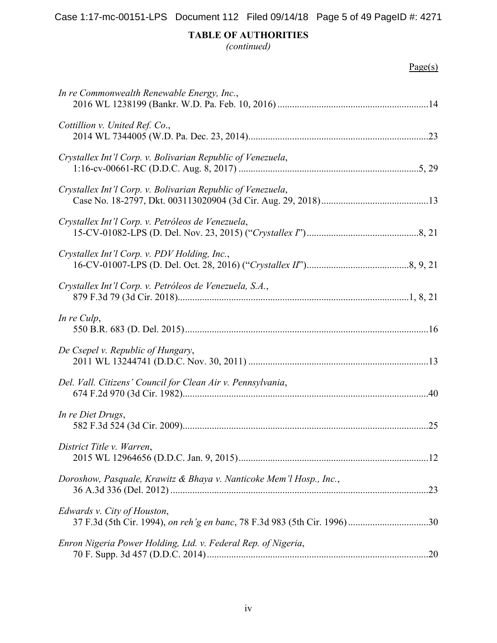*(continued)*

| In re Commonwealth Renewable Energy, Inc.,                          |  |
|---------------------------------------------------------------------|--|
| Cottillion v. United Ref. Co.,                                      |  |
| Crystallex Int'l Corp. v. Bolivarian Republic of Venezuela,         |  |
| Crystallex Int'l Corp. v. Bolivarian Republic of Venezuela,         |  |
| Crystallex Int'l Corp. v. Petróleos de Venezuela,                   |  |
| Crystallex Int'l Corp. v. PDV Holding, Inc.,                        |  |
| Crystallex Int'l Corp. v. Petróleos de Venezuela, S.A.,             |  |
| In re Culp,                                                         |  |
| De Csepel v. Republic of Hungary,                                   |  |
| Del. Vall. Citizens' Council for Clean Air v. Pennsylvania,         |  |
| In re Diet Drugs,                                                   |  |
| District Title v. Warren,                                           |  |
| Doroshow, Pasquale, Krawitz & Bhaya v. Nanticoke Mem'l Hosp., Inc., |  |
| Edwards v. City of Houston,                                         |  |
| Enron Nigeria Power Holding, Ltd. v. Federal Rep. of Nigeria,       |  |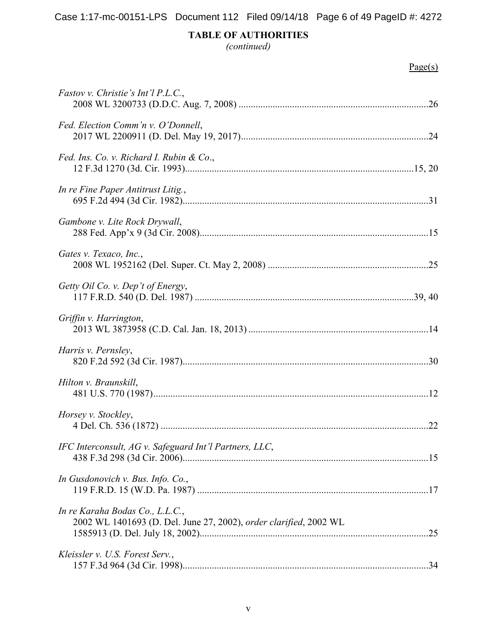*(continued)*

| <i>Fastov v. Christie's Int'l P.L.C.</i> ,                                                           |
|------------------------------------------------------------------------------------------------------|
| Fed. Election Comm'n v. O'Donnell,                                                                   |
| Fed. Ins. Co. v. Richard I. Rubin & Co.,                                                             |
| In re Fine Paper Antitrust Litig.,                                                                   |
| Gambone v. Lite Rock Drywall,                                                                        |
| Gates v. Texaco, Inc.,                                                                               |
| Getty Oil Co. v. Dep't of Energy,                                                                    |
| Griffin v. Harrington,                                                                               |
| Harris v. Pernsley,                                                                                  |
| Hilton v. Braunskill,                                                                                |
| Horsey v. Stockley,                                                                                  |
| IFC Interconsult, AG v. Safeguard Int'l Partners, LLC,                                               |
| In Gusdonovich v. Bus. Info. Co.,                                                                    |
| In re Karaha Bodas Co., L.L.C.,<br>2002 WL 1401693 (D. Del. June 27, 2002), order clarified, 2002 WL |
| Kleissler v. U.S. Forest Serv.,                                                                      |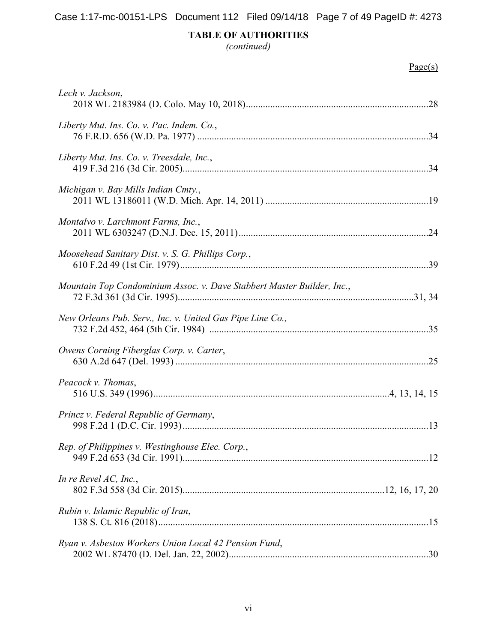*(continued)* 

| Lech v. Jackson,                                                       |
|------------------------------------------------------------------------|
| Liberty Mut. Ins. Co. v. Pac. Indem. Co.,                              |
| Liberty Mut. Ins. Co. v. Treesdale, Inc.,                              |
| Michigan v. Bay Mills Indian Cmty.,                                    |
| Montalvo v. Larchmont Farms, Inc.,                                     |
| Moosehead Sanitary Dist. v. S. G. Phillips Corp.,                      |
| Mountain Top Condominium Assoc. v. Dave Stabbert Master Builder, Inc., |
| New Orleans Pub. Serv., Inc. v. United Gas Pipe Line Co.,              |
| Owens Corning Fiberglas Corp. v. Carter,                               |
| Peacock v. Thomas,                                                     |
| Princz v. Federal Republic of Germany,                                 |
| Rep. of Philippines v. Westinghouse Elec. Corp.,                       |
| In re Revel $AC$ , Inc.,                                               |
| Rubin v. Islamic Republic of Iran,                                     |
| Ryan v. Asbestos Workers Union Local 42 Pension Fund,                  |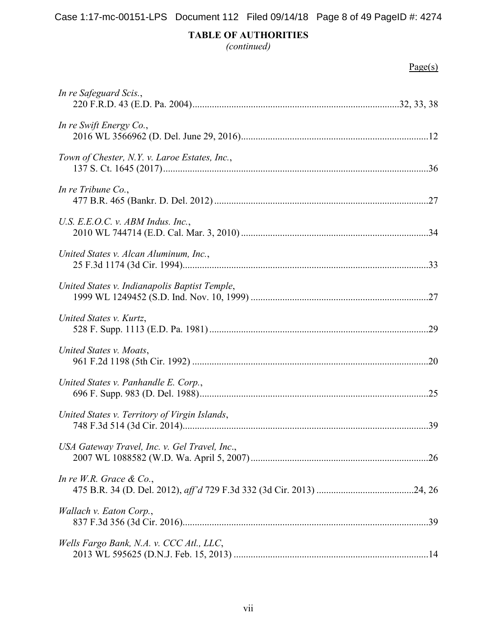*(continued)* 

| In re Safeguard Scis.,                        |
|-----------------------------------------------|
| In re Swift Energy Co.,                       |
| Town of Chester, N.Y. v. Laroe Estates, Inc., |
| In re Tribune Co.,                            |
| U.S. E.E.O.C. v. ABM Indus. Inc.,             |
| United States v. Alcan Aluminum, Inc.,        |
| United States v. Indianapolis Baptist Temple, |
| United States v. Kurtz,                       |
| United States v. Moats,                       |
| United States v. Panhandle E. Corp.,          |
| United States v. Territory of Virgin Islands, |
| USA Gateway Travel, Inc. v. Gel Travel, Inc., |
| In re W.R. Grace $\&$ Co.,                    |
| Wallach v. Eaton Corp.,                       |
| Wells Fargo Bank, N.A. v. CCC Atl., LLC,      |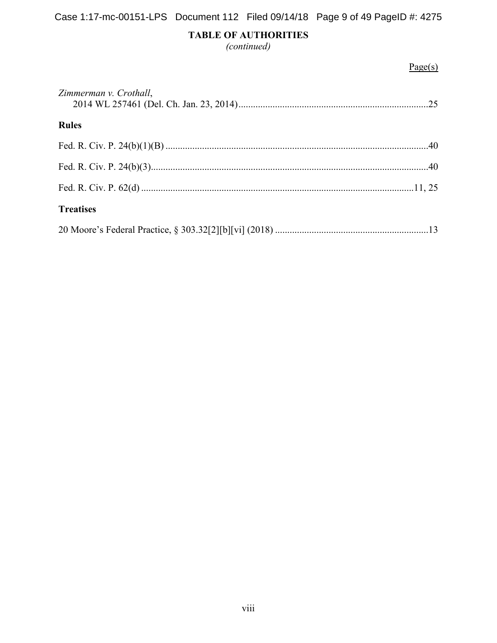*(continued)* 

| Zimmerman v. Crothall, |  |
|------------------------|--|
| <b>Rules</b>           |  |
|                        |  |
|                        |  |
|                        |  |
| <b>Treatises</b>       |  |
|                        |  |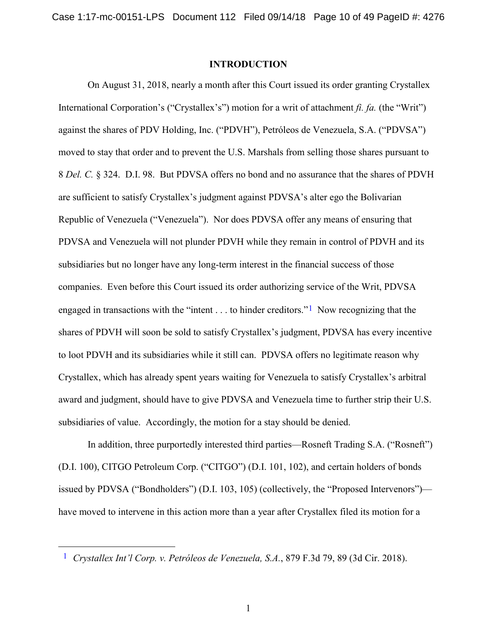#### **INTRODUCTION**

On August 31, 2018, nearly a month after this Court issued its order granting Crystallex International Corporation's ("Crystallex's") motion for a writ of attachment *fi. fa.* (the "Writ") against the shares of PDV Holding, Inc. ("PDVH"), Petróleos de Venezuela, S.A. ("PDVSA") moved to stay that order and to prevent the U.S. Marshals from selling those shares pursuant to 8 *Del. C.* § 324. D.I. 98. But PDVSA offers no bond and no assurance that the shares of PDVH are sufficient to satisfy Crystallex's judgment against PDVSA's alter ego the Bolivarian Republic of Venezuela ("Venezuela"). Nor does PDVSA offer any means of ensuring that PDVSA and Venezuela will not plunder PDVH while they remain in control of PDVH and its subsidiaries but no longer have any long-term interest in the financial success of those companies. Even before this Court issued its order authorizing service of the Writ, PDVSA engaged in transactions with the "intent  $\dots$  to hinder creditors."<sup>[1](#page-9-1)</sup> Now recognizing that the shares of PDVH will soon be sold to satisfy Crystallex's judgment, PDVSA has every incentive to loot PDVH and its subsidiaries while it still can. PDVSA offers no legitimate reason why Crystallex, which has already spent years waiting for Venezuela to satisfy Crystallex's arbitral award and judgment, should have to give PDVSA and Venezuela time to further strip their U.S. subsidiaries of value. Accordingly, the motion for a stay should be denied.

In addition, three purportedly interested third parties—Rosneft Trading S.A. ("Rosneft") (D.I. 100), CITGO Petroleum Corp. ("CITGO") (D.I. 101, 102), and certain holders of bonds issued by PDVSA ("Bondholders") (D.I. 103, 105) (collectively, the "Proposed Intervenors") have moved to intervene in this action more than a year after Crystallex filed its motion for a

<span id="page-9-1"></span><span id="page-9-0"></span> <sup>1</sup> *Crystallex Int'l Corp. v. Petróleos de Venezuela, S.A.*, 879 F.3d 79, 89 (3d Cir. 2018).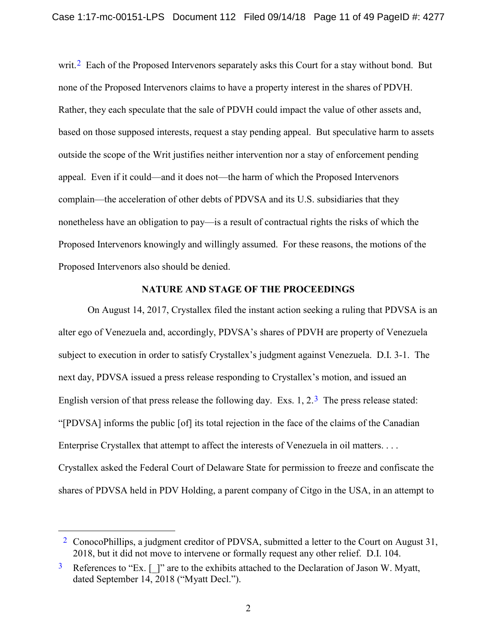writ.<sup>2</sup> Each of the Proposed Intervenors separately asks this Court for a stay without bond. But none of the Proposed Intervenors claims to have a property interest in the shares of PDVH. Rather, they each speculate that the sale of PDVH could impact the value of other assets and, based on those supposed interests, request a stay pending appeal. But speculative harm to assets outside the scope of the Writ justifies neither intervention nor a stay of enforcement pending appeal. Even if it could—and it does not—the harm of which the Proposed Intervenors complain—the acceleration of other debts of PDVSA and its U.S. subsidiaries that they nonetheless have an obligation to pay—is a result of contractual rights the risks of which the Proposed Intervenors knowingly and willingly assumed. For these reasons, the motions of the Proposed Intervenors also should be denied.

#### **NATURE AND STAGE OF THE PROCEEDINGS**

On August 14, 2017, Crystallex filed the instant action seeking a ruling that PDVSA is an alter ego of Venezuela and, accordingly, PDVSA's shares of PDVH are property of Venezuela subject to execution in order to satisfy Crystallex's judgment against Venezuela. D.I. 3-1. The next day, PDVSA issued a press release responding to Crystallex's motion, and issued an English version of that press release the following day. Exs. 1,  $2.\overline{3}$  $2.\overline{3}$  $2.\overline{3}$  The press release stated: "[PDVSA] informs the public [of] its total rejection in the face of the claims of the Canadian Enterprise Crystallex that attempt to affect the interests of Venezuela in oil matters. . . . Crystallex asked the Federal Court of Delaware State for permission to freeze and confiscate the shares of PDVSA held in PDV Holding, a parent company of Citgo in the USA, in an attempt to

<span id="page-10-0"></span><sup>&</sup>lt;sup>2</sup> ConocoPhillips, a judgment creditor of PDVSA, submitted a letter to the Court on August  $31$ , 2018, but it did not move to intervene or formally request any other relief. D.I. 104.

<span id="page-10-1"></span> $3\text{~References to "Ex.}$  [ ]" are to the exhibits attached to the Declaration of Jason W. Myatt, dated September 14, 2018 ("Myatt Decl.").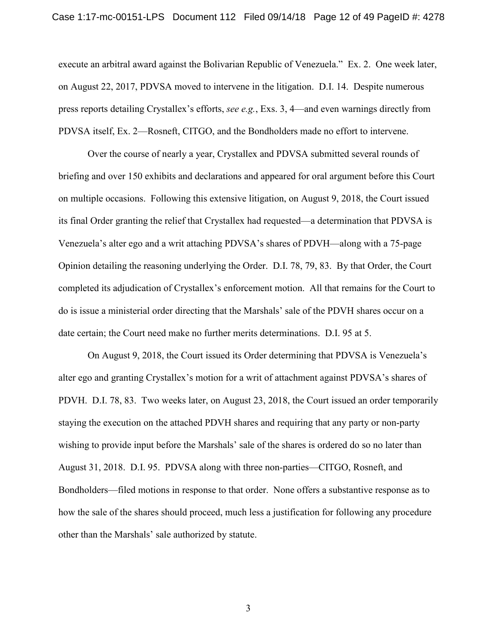execute an arbitral award against the Bolivarian Republic of Venezuela." Ex. 2. One week later, on August 22, 2017, PDVSA moved to intervene in the litigation. D.I. 14. Despite numerous press reports detailing Crystallex's efforts, *see e.g.*, Exs. 3, 4—and even warnings directly from PDVSA itself, Ex. 2—Rosneft, CITGO, and the Bondholders made no effort to intervene.

Over the course of nearly a year, Crystallex and PDVSA submitted several rounds of briefing and over 150 exhibits and declarations and appeared for oral argument before this Court on multiple occasions. Following this extensive litigation, on August 9, 2018, the Court issued its final Order granting the relief that Crystallex had requested—a determination that PDVSA is Venezuela's alter ego and a writ attaching PDVSA's shares of PDVH—along with a 75-page Opinion detailing the reasoning underlying the Order. D.I. 78, 79, 83. By that Order, the Court completed its adjudication of Crystallex's enforcement motion. All that remains for the Court to do is issue a ministerial order directing that the Marshals' sale of the PDVH shares occur on a date certain; the Court need make no further merits determinations. D.I. 95 at 5.

On August 9, 2018, the Court issued its Order determining that PDVSA is Venezuela's alter ego and granting Crystallex's motion for a writ of attachment against PDVSA's shares of PDVH. D.I. 78, 83. Two weeks later, on August 23, 2018, the Court issued an order temporarily staying the execution on the attached PDVH shares and requiring that any party or non-party wishing to provide input before the Marshals' sale of the shares is ordered do so no later than August 31, 2018. D.I. 95. PDVSA along with three non-parties—CITGO, Rosneft, and Bondholders—filed motions in response to that order. None offers a substantive response as to how the sale of the shares should proceed, much less a justification for following any procedure other than the Marshals' sale authorized by statute.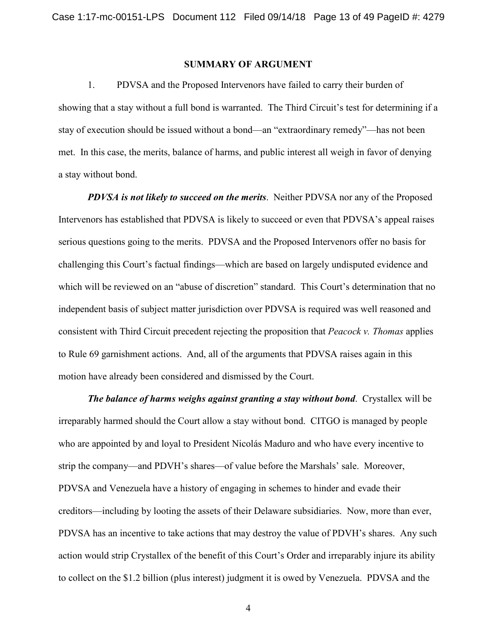#### **SUMMARY OF ARGUMENT**

1. PDVSA and the Proposed Intervenors have failed to carry their burden of showing that a stay without a full bond is warranted. The Third Circuit's test for determining if a stay of execution should be issued without a bond—an "extraordinary remedy"—has not been met. In this case, the merits, balance of harms, and public interest all weigh in favor of denying a stay without bond.

*PDVSA is not likely to succeed on the merits*. Neither PDVSA nor any of the Proposed Intervenors has established that PDVSA is likely to succeed or even that PDVSA's appeal raises serious questions going to the merits. PDVSA and the Proposed Intervenors offer no basis for challenging this Court's factual findings—which are based on largely undisputed evidence and which will be reviewed on an "abuse of discretion" standard. This Court's determination that no independent basis of subject matter jurisdiction over PDVSA is required was well reasoned and consistent with Third Circuit precedent rejecting the proposition that *Peacock v. Thomas* applies to Rule 69 garnishment actions. And, all of the arguments that PDVSA raises again in this motion have already been considered and dismissed by the Court.

*The balance of harms weighs against granting a stay without bond*. Crystallex will be irreparably harmed should the Court allow a stay without bond. CITGO is managed by people who are appointed by and loyal to President Nicolás Maduro and who have every incentive to strip the company—and PDVH's shares—of value before the Marshals' sale. Moreover, PDVSA and Venezuela have a history of engaging in schemes to hinder and evade their creditors—including by looting the assets of their Delaware subsidiaries. Now, more than ever, PDVSA has an incentive to take actions that may destroy the value of PDVH's shares. Any such action would strip Crystallex of the benefit of this Court's Order and irreparably injure its ability to collect on the \$1.2 billion (plus interest) judgment it is owed by Venezuela. PDVSA and the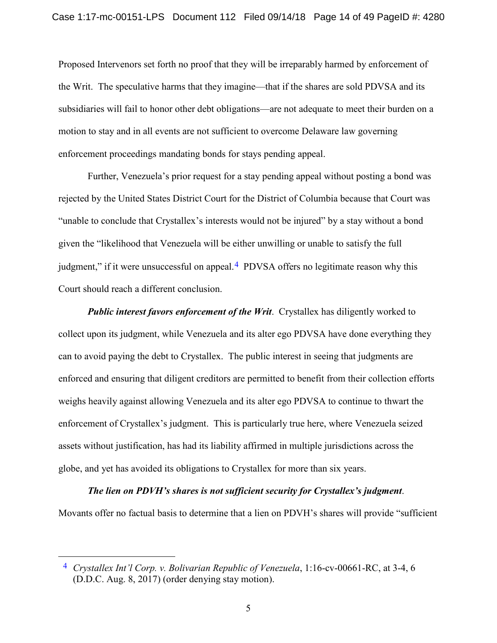Proposed Intervenors set forth no proof that they will be irreparably harmed by enforcement of the Writ. The speculative harms that they imagine—that if the shares are sold PDVSA and its subsidiaries will fail to honor other debt obligations—are not adequate to meet their burden on a motion to stay and in all events are not sufficient to overcome Delaware law governing enforcement proceedings mandating bonds for stays pending appeal.

Further, Venezuela's prior request for a stay pending appeal without posting a bond was rejected by the United States District Court for the District of Columbia because that Court was "unable to conclude that Crystallex's interests would not be injured" by a stay without a bond given the "likelihood that Venezuela will be either unwilling or unable to satisfy the full judgment," if it were unsuccessful on appeal.<sup>[4](#page-13-1)</sup> PDVSA offers no legitimate reason why this Court should reach a different conclusion.

*Public interest favors enforcement of the Writ*. Crystallex has diligently worked to collect upon its judgment, while Venezuela and its alter ego PDVSA have done everything they can to avoid paying the debt to Crystallex. The public interest in seeing that judgments are enforced and ensuring that diligent creditors are permitted to benefit from their collection efforts weighs heavily against allowing Venezuela and its alter ego PDVSA to continue to thwart the enforcement of Crystallex's judgment. This is particularly true here, where Venezuela seized assets without justification, has had its liability affirmed in multiple jurisdictions across the globe, and yet has avoided its obligations to Crystallex for more than six years.

#### *The lien on PDVH's shares is not sufficient security for Crystallex's judgment*.

Movants offer no factual basis to determine that a lien on PDVH's shares will provide "sufficient

<span id="page-13-1"></span><span id="page-13-0"></span> <sup>4</sup> *Crystallex Int'l Corp. v. Bolivarian Republic of Venezuela*, 1:16-cv-00661-RC, at 3-4, 6 (D.D.C. Aug. 8, 2017) (order denying stay motion).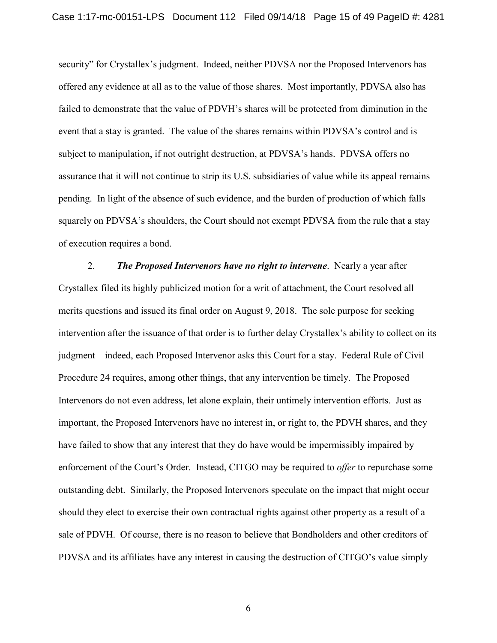security" for Crystallex's judgment. Indeed, neither PDVSA nor the Proposed Intervenors has offered any evidence at all as to the value of those shares. Most importantly, PDVSA also has failed to demonstrate that the value of PDVH's shares will be protected from diminution in the event that a stay is granted. The value of the shares remains within PDVSA's control and is subject to manipulation, if not outright destruction, at PDVSA's hands. PDVSA offers no assurance that it will not continue to strip its U.S. subsidiaries of value while its appeal remains pending. In light of the absence of such evidence, and the burden of production of which falls squarely on PDVSA's shoulders, the Court should not exempt PDVSA from the rule that a stay of execution requires a bond.

2. *The Proposed Intervenors have no right to intervene*. Nearly a year after Crystallex filed its highly publicized motion for a writ of attachment, the Court resolved all merits questions and issued its final order on August 9, 2018. The sole purpose for seeking intervention after the issuance of that order is to further delay Crystallex's ability to collect on its judgment—indeed, each Proposed Intervenor asks this Court for a stay. Federal Rule of Civil Procedure 24 requires, among other things, that any intervention be timely. The Proposed Intervenors do not even address, let alone explain, their untimely intervention efforts. Just as important, the Proposed Intervenors have no interest in, or right to, the PDVH shares, and they have failed to show that any interest that they do have would be impermissibly impaired by enforcement of the Court's Order. Instead, CITGO may be required to *offer* to repurchase some outstanding debt. Similarly, the Proposed Intervenors speculate on the impact that might occur should they elect to exercise their own contractual rights against other property as a result of a sale of PDVH. Of course, there is no reason to believe that Bondholders and other creditors of PDVSA and its affiliates have any interest in causing the destruction of CITGO's value simply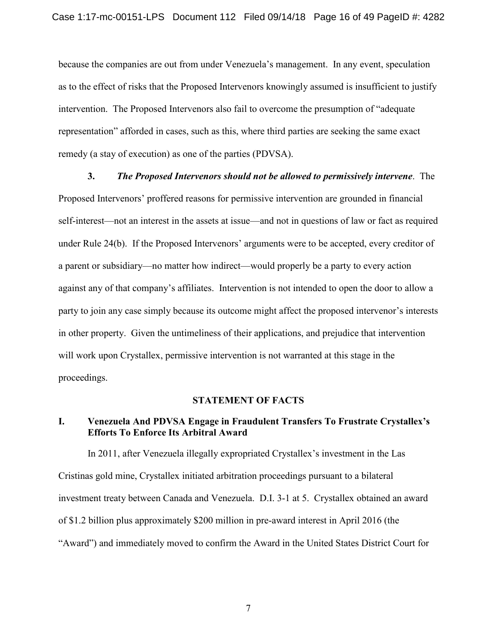because the companies are out from under Venezuela's management. In any event, speculation as to the effect of risks that the Proposed Intervenors knowingly assumed is insufficient to justify intervention. The Proposed Intervenors also fail to overcome the presumption of "adequate representation" afforded in cases, such as this, where third parties are seeking the same exact remedy (a stay of execution) as one of the parties (PDVSA).

**3.** *The Proposed Intervenors should not be allowed to permissively intervene*. The Proposed Intervenors' proffered reasons for permissive intervention are grounded in financial self-interest—not an interest in the assets at issue—and not in questions of law or fact as required under Rule 24(b). If the Proposed Intervenors' arguments were to be accepted, every creditor of a parent or subsidiary—no matter how indirect—would properly be a party to every action against any of that company's affiliates. Intervention is not intended to open the door to allow a party to join any case simply because its outcome might affect the proposed intervenor's interests in other property. Given the untimeliness of their applications, and prejudice that intervention will work upon Crystallex, permissive intervention is not warranted at this stage in the proceedings.

#### **STATEMENT OF FACTS**

## **I. Venezuela And PDVSA Engage in Fraudulent Transfers To Frustrate Crystallex's Efforts To Enforce Its Arbitral Award**

In 2011, after Venezuela illegally expropriated Crystallex's investment in the Las Cristinas gold mine, Crystallex initiated arbitration proceedings pursuant to a bilateral investment treaty between Canada and Venezuela. D.I. 3-1 at 5. Crystallex obtained an award of \$1.2 billion plus approximately \$200 million in pre-award interest in April 2016 (the "Award") and immediately moved to confirm the Award in the United States District Court for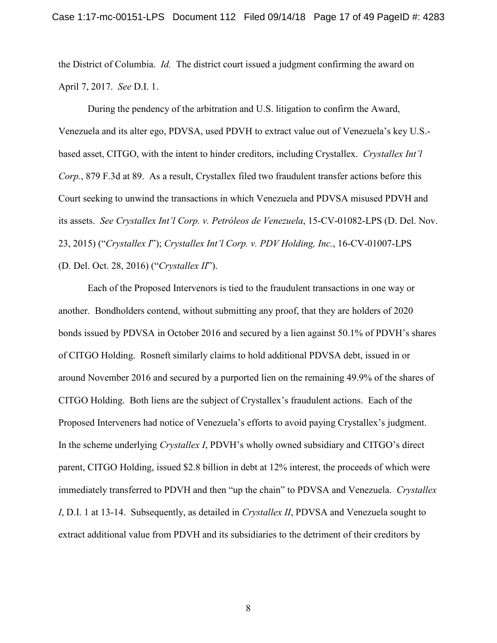the District of Columbia. *Id.* The district court issued a judgment confirming the award on April 7, 2017. *See* D.I. 1.

<span id="page-16-2"></span>During the pendency of the arbitration and U.S. litigation to confirm the Award, Venezuela and its alter ego, PDVSA, used PDVH to extract value out of Venezuela's key U.S. based asset, CITGO, with the intent to hinder creditors, including Crystallex. *Crystallex Int'l Corp.*, 879 F.3d at 89. As a result, Crystallex filed two fraudulent transfer actions before this Court seeking to unwind the transactions in which Venezuela and PDVSA misused PDVH and its assets. *See Crystallex Int'l Corp. v. Petróleos de Venezuela*, 15-CV-01082-LPS (D. Del. Nov. 23, 2015) ("*Crystallex I*"); *Crystallex Int'l Corp. v. PDV Holding, Inc.*, 16-CV-01007-LPS (D. Del. Oct. 28, 2016) ("*Crystallex II*").

<span id="page-16-1"></span><span id="page-16-0"></span>Each of the Proposed Intervenors is tied to the fraudulent transactions in one way or another. Bondholders contend, without submitting any proof, that they are holders of 2020 bonds issued by PDVSA in October 2016 and secured by a lien against 50.1% of PDVH's shares of CITGO Holding. Rosneft similarly claims to hold additional PDVSA debt, issued in or around November 2016 and secured by a purported lien on the remaining 49.9% of the shares of CITGO Holding. Both liens are the subject of Crystallex's fraudulent actions. Each of the Proposed Interveners had notice of Venezuela's efforts to avoid paying Crystallex's judgment. In the scheme underlying *Crystallex I*, PDVH's wholly owned subsidiary and CITGO's direct parent, CITGO Holding, issued \$2.8 billion in debt at 12% interest, the proceeds of which were immediately transferred to PDVH and then "up the chain" to PDVSA and Venezuela. *Crystallex I*, D.I. 1 at 13-14. Subsequently, as detailed in *Crystallex II*, PDVSA and Venezuela sought to extract additional value from PDVH and its subsidiaries to the detriment of their creditors by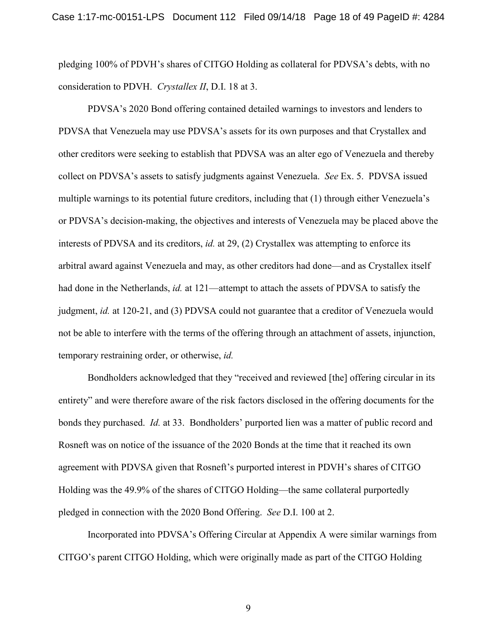pledging 100% of PDVH's shares of CITGO Holding as collateral for PDVSA's debts, with no consideration to PDVH. *Crystallex II*, D.I. 18 at 3.

PDVSA's 2020 Bond offering contained detailed warnings to investors and lenders to PDVSA that Venezuela may use PDVSA's assets for its own purposes and that Crystallex and other creditors were seeking to establish that PDVSA was an alter ego of Venezuela and thereby collect on PDVSA's assets to satisfy judgments against Venezuela. *See* Ex. 5. PDVSA issued multiple warnings to its potential future creditors, including that (1) through either Venezuela's or PDVSA's decision-making, the objectives and interests of Venezuela may be placed above the interests of PDVSA and its creditors, *id.* at 29, (2) Crystallex was attempting to enforce its arbitral award against Venezuela and may, as other creditors had done—and as Crystallex itself had done in the Netherlands, *id.* at 121—attempt to attach the assets of PDVSA to satisfy the judgment, *id.* at 120-21, and (3) PDVSA could not guarantee that a creditor of Venezuela would not be able to interfere with the terms of the offering through an attachment of assets, injunction, temporary restraining order, or otherwise, *id.*

Bondholders acknowledged that they "received and reviewed [the] offering circular in its entirety" and were therefore aware of the risk factors disclosed in the offering documents for the bonds they purchased. *Id.* at 33. Bondholders' purported lien was a matter of public record and Rosneft was on notice of the issuance of the 2020 Bonds at the time that it reached its own agreement with PDVSA given that Rosneft's purported interest in PDVH's shares of CITGO Holding was the 49.9% of the shares of CITGO Holding—the same collateral purportedly pledged in connection with the 2020 Bond Offering. *See* D.I. 100 at 2.

Incorporated into PDVSA's Offering Circular at Appendix A were similar warnings from CITGO's parent CITGO Holding, which were originally made as part of the CITGO Holding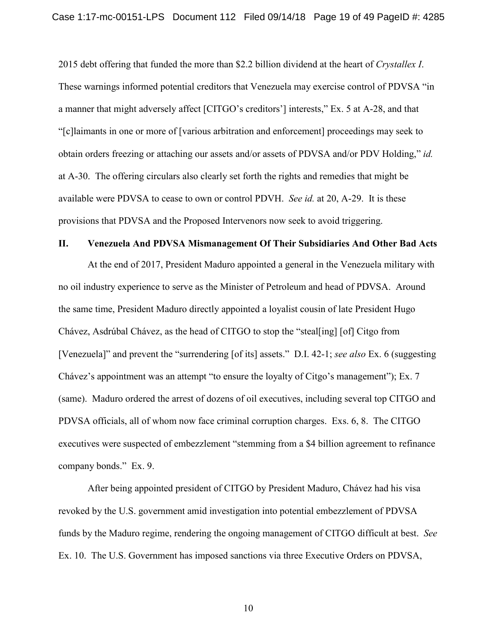2015 debt offering that funded the more than \$2.2 billion dividend at the heart of *Crystallex I*. These warnings informed potential creditors that Venezuela may exercise control of PDVSA "in a manner that might adversely affect [CITGO's creditors'] interests," Ex. 5 at A-28, and that "[c]laimants in one or more of [various arbitration and enforcement] proceedings may seek to obtain orders freezing or attaching our assets and/or assets of PDVSA and/or PDV Holding," *id.* at A-30. The offering circulars also clearly set forth the rights and remedies that might be available were PDVSA to cease to own or control PDVH. *See id.* at 20, A-29. It is these provisions that PDVSA and the Proposed Intervenors now seek to avoid triggering.

#### **II. Venezuela And PDVSA Mismanagement Of Their Subsidiaries And Other Bad Acts**

At the end of 2017, President Maduro appointed a general in the Venezuela military with no oil industry experience to serve as the Minister of Petroleum and head of PDVSA. Around the same time, President Maduro directly appointed a loyalist cousin of late President Hugo Chávez, Asdrúbal Chávez, as the head of CITGO to stop the "steal[ing] [of] Citgo from [Venezuela]" and prevent the "surrendering [of its] assets." D.I. 42-1; *see also* Ex. 6 (suggesting Chávez's appointment was an attempt "to ensure the loyalty of Citgo's management"); Ex. 7 (same). Maduro ordered the arrest of dozens of oil executives, including several top CITGO and PDVSA officials, all of whom now face criminal corruption charges. Exs. 6, 8. The CITGO executives were suspected of embezzlement "stemming from a \$4 billion agreement to refinance company bonds." Ex. 9.

After being appointed president of CITGO by President Maduro, Chávez had his visa revoked by the U.S. government amid investigation into potential embezzlement of PDVSA funds by the Maduro regime, rendering the ongoing management of CITGO difficult at best. *See*  Ex. 10. The U.S. Government has imposed sanctions via three Executive Orders on PDVSA,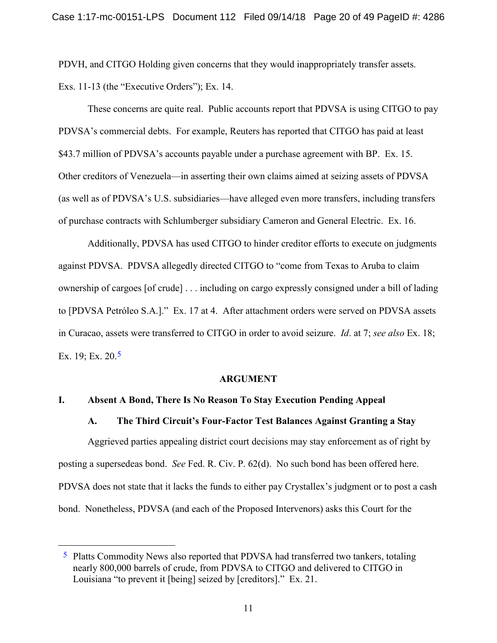PDVH, and CITGO Holding given concerns that they would inappropriately transfer assets. Exs. 11-13 (the "Executive Orders"); Ex. 14.

These concerns are quite real. Public accounts report that PDVSA is using CITGO to pay PDVSA's commercial debts. For example, Reuters has reported that CITGO has paid at least \$43.7 million of PDVSA's accounts payable under a purchase agreement with BP. Ex. 15. Other creditors of Venezuela—in asserting their own claims aimed at seizing assets of PDVSA (as well as of PDVSA's U.S. subsidiaries—have alleged even more transfers, including transfers of purchase contracts with Schlumberger subsidiary Cameron and General Electric. Ex. 16.

Additionally, PDVSA has used CITGO to hinder creditor efforts to execute on judgments against PDVSA. PDVSA allegedly directed CITGO to "come from Texas to Aruba to claim ownership of cargoes [of crude] . . . including on cargo expressly consigned under a bill of lading to [PDVSA Petróleo S.A.]." Ex. 17 at 4. After attachment orders were served on PDVSA assets in Curacao, assets were transferred to CITGO in order to avoid seizure. *Id*. at 7; *see also* Ex. 18; Ex. 19; Ex. 20.<sup>5</sup>

#### <span id="page-19-0"></span>**ARGUMENT**

#### **I. Absent A Bond, There Is No Reason To Stay Execution Pending Appeal**

#### **A. The Third Circuit's Four-Factor Test Balances Against Granting a Stay**

Aggrieved parties appealing district court decisions may stay enforcement as of right by posting a supersedeas bond. *See* Fed. R. Civ. P. 62(d). No such bond has been offered here. PDVSA does not state that it lacks the funds to either pay Crystallex's judgment or to post a cash bond. Nonetheless, PDVSA (and each of the Proposed Intervenors) asks this Court for the

<span id="page-19-1"></span><sup>&</sup>lt;sup>5</sup> Platts Commodity News also reported that PDVSA had transferred two tankers, totaling nearly 800,000 barrels of crude, from PDVSA to CITGO and delivered to CITGO in Louisiana "to prevent it [being] seized by [creditors]." Ex. 21.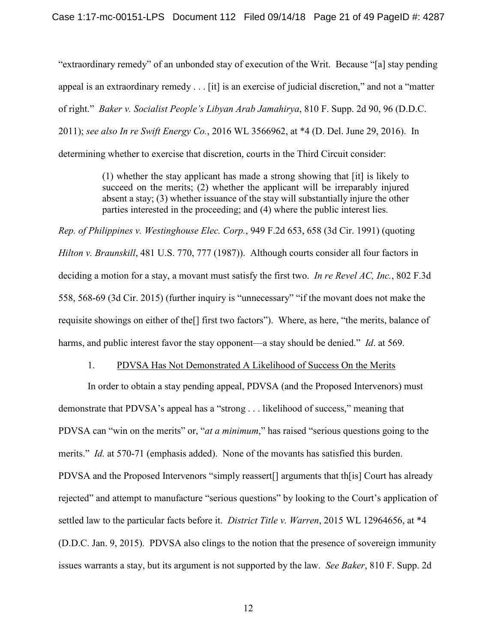<span id="page-20-0"></span>"extraordinary remedy" of an unbonded stay of execution of the Writ. Because "[a] stay pending appeal is an extraordinary remedy . . . [it] is an exercise of judicial discretion," and not a "matter of right." *Baker v. Socialist People's Libyan Arab Jamahirya*, 810 F. Supp. 2d 90, 96 (D.D.C. 2011); *see also In re Swift Energy Co.*, 2016 WL 3566962, at \*4 (D. Del. June 29, 2016). In determining whether to exercise that discretion, courts in the Third Circuit consider:

> <span id="page-20-4"></span><span id="page-20-3"></span>(1) whether the stay applicant has made a strong showing that [it] is likely to succeed on the merits; (2) whether the applicant will be irreparably injured absent a stay; (3) whether issuance of the stay will substantially injure the other parties interested in the proceeding; and (4) where the public interest lies.

<span id="page-20-2"></span><span id="page-20-1"></span>*Rep. of Philippines v. Westinghouse Elec. Corp.*, 949 F.2d 653, 658 (3d Cir. 1991) (quoting *Hilton v. Braunskill*, 481 U.S. 770, 777 (1987)). Although courts consider all four factors in deciding a motion for a stay, a movant must satisfy the first two. *In re Revel AC, Inc.*, 802 F.3d 558, 568-69 (3d Cir. 2015) (further inquiry is "unnecessary" "if the movant does not make the requisite showings on either of the[] first two factors"). Where, as here, "the merits, balance of harms, and public interest favor the stay opponent—a stay should be denied." *Id*. at 569.

#### 1. PDVSA Has Not Demonstrated A Likelihood of Success On the Merits

In order to obtain a stay pending appeal, PDVSA (and the Proposed Intervenors) must demonstrate that PDVSA's appeal has a "strong . . . likelihood of success," meaning that PDVSA can "win on the merits" or, "*at a minimum*," has raised "serious questions going to the merits." *Id.* at 570-71 (emphasis added). None of the movants has satisfied this burden. PDVSA and the Proposed Intervenors "simply reassert[] arguments that th[is] Court has already rejected" and attempt to manufacture "serious questions" by looking to the Court's application of settled law to the particular facts before it. *District Title v. Warren*, 2015 WL 12964656, at \*4 (D.D.C. Jan. 9, 2015). PDVSA also clings to the notion that the presence of sovereign immunity issues warrants a stay, but its argument is not supported by the law. *See Baker*, 810 F. Supp. 2d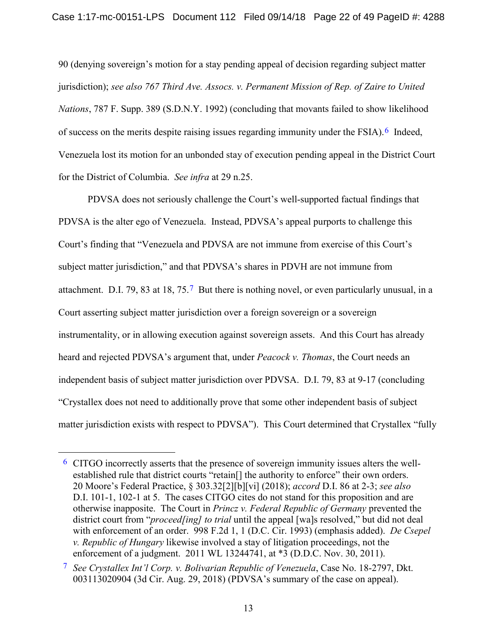<span id="page-21-0"></span>90 (denying sovereign's motion for a stay pending appeal of decision regarding subject matter jurisdiction); *see also 767 Third Ave. Assocs. v. Permanent Mission of Rep. of Zaire to United Nations*, 787 F. Supp. 389 (S.D.N.Y. 1992) (concluding that movants failed to show likelihood of success on the merits despite raising issues regarding immunity under the FSIA).  $6$  Indeed, Venezuela lost its motion for an unbonded stay of execution pending appeal in the District Court for the District of Columbia. *See infra* at 29 n.25.

PDVSA does not seriously challenge the Court's well-supported factual findings that PDVSA is the alter ego of Venezuela. Instead, PDVSA's appeal purports to challenge this Court's finding that "Venezuela and PDVSA are not immune from exercise of this Court's subject matter jurisdiction," and that PDVSA's shares in PDVH are not immune from attachment. D.I. 79, 83 at 18, 75.[7](#page-21-6) But there is nothing novel, or even particularly unusual, in a Court asserting subject matter jurisdiction over a foreign sovereign or a sovereign instrumentality, or in allowing execution against sovereign assets. And this Court has already heard and rejected PDVSA's argument that, under *Peacock v. Thomas*, the Court needs an independent basis of subject matter jurisdiction over PDVSA. D.I. 79, 83 at 9-17 (concluding "Crystallex does not need to additionally prove that some other independent basis of subject matter jurisdiction exists with respect to PDVSA"). This Court determined that Crystallex "fully

<span id="page-21-5"></span><span id="page-21-4"></span><span id="page-21-3"></span> <sup>6</sup> CITGO incorrectly asserts that the presence of sovereign immunity issues alters the wellestablished rule that district courts "retain[] the authority to enforce" their own orders. 20 Moore's Federal Practice, § 303.32[2][b][vi] (2018); *accord* D.I. 86 at 2-3; *see also*  D.I. 101-1, 102-1 at 5. The cases CITGO cites do not stand for this proposition and are otherwise inapposite. The Court in *Princz v. Federal Republic of Germany* prevented the district court from "*proceed[ing] to trial* until the appeal [wa]s resolved," but did not deal with enforcement of an order. 998 F.2d 1, 1 (D.C. Cir. 1993) (emphasis added). *De Csepel v. Republic of Hungary* likewise involved a stay of litigation proceedings, not the enforcement of a judgment. 2011 WL 13244741, at \*3 (D.D.C. Nov. 30, 2011).

<span id="page-21-6"></span><span id="page-21-2"></span><span id="page-21-1"></span><sup>7</sup> *See Crystallex Int'l Corp. v. Bolivarian Republic of Venezuela*, Case No. 18-2797, Dkt. 003113020904 (3d Cir. Aug. 29, 2018) (PDVSA's summary of the case on appeal).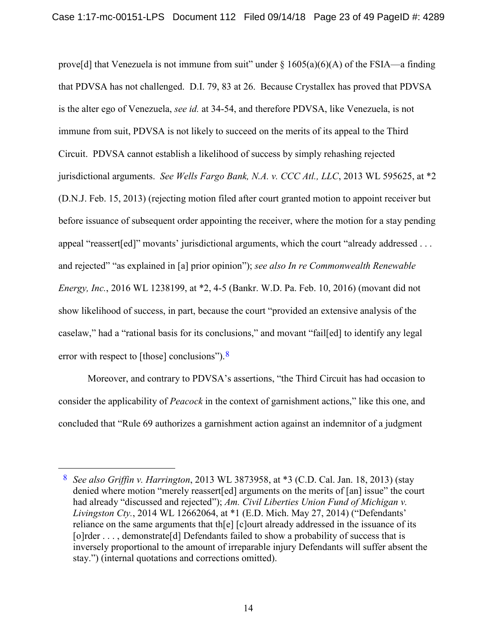<span id="page-22-3"></span>prove[d] that Venezuela is not immune from suit" under  $\S 1605(a)(6)(A)$  of the FSIA—a finding that PDVSA has not challenged. D.I. 79, 83 at 26. Because Crystallex has proved that PDVSA is the alter ego of Venezuela, *see id.* at 34-54, and therefore PDVSA, like Venezuela, is not immune from suit, PDVSA is not likely to succeed on the merits of its appeal to the Third Circuit. PDVSA cannot establish a likelihood of success by simply rehashing rejected jurisdictional arguments. *See Wells Fargo Bank, N.A. v. CCC Atl., LLC*, 2013 WL 595625, at \*2 (D.N.J. Feb. 15, 2013) (rejecting motion filed after court granted motion to appoint receiver but before issuance of subsequent order appointing the receiver, where the motion for a stay pending appeal "reassert[ed]" movants' jurisdictional arguments, which the court "already addressed . . . and rejected" "as explained in [a] prior opinion"); *see also In re Commonwealth Renewable Energy, Inc.*, 2016 WL 1238199, at \*2, 4-5 (Bankr. W.D. Pa. Feb. 10, 2016) (movant did not show likelihood of success, in part, because the court "provided an extensive analysis of the caselaw," had a "rational basis for its conclusions," and movant "fail[ed] to identify any legal error with respect to [those] conclusions"). <sup>8</sup>

<span id="page-22-1"></span>Moreover, and contrary to PDVSA's assertions, "the Third Circuit has had occasion to consider the applicability of *Peacock* in the context of garnishment actions," like this one, and concluded that "Rule 69 authorizes a garnishment action against an indemnitor of a judgment

<span id="page-22-4"></span><span id="page-22-2"></span><span id="page-22-0"></span> <sup>8</sup> *See also Griffin v. Harrington*, 2013 WL 3873958, at \*3 (C.D. Cal. Jan. 18, 2013) (stay denied where motion "merely reassert[ed] arguments on the merits of [an] issue" the court had already "discussed and rejected"); *Am. Civil Liberties Union Fund of Michigan v. Livingston Cty.*, 2014 WL 12662064, at \*1 (E.D. Mich. May 27, 2014) ("Defendants' reliance on the same arguments that th[e] [c]ourt already addressed in the issuance of its [o]rder . . . , demonstrate[d] Defendants failed to show a probability of success that is inversely proportional to the amount of irreparable injury Defendants will suffer absent the stay.") (internal quotations and corrections omitted).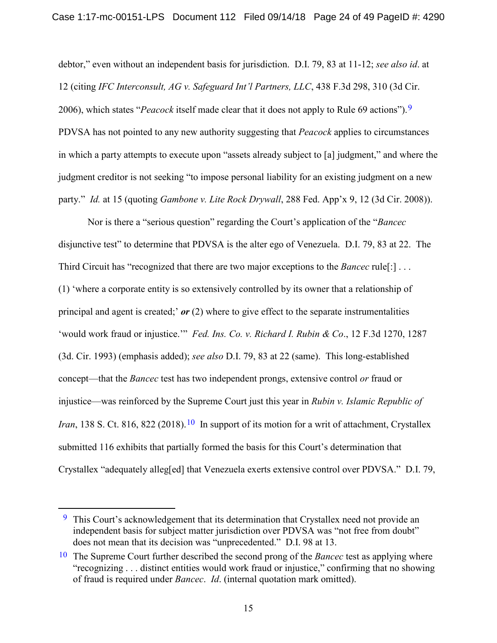<span id="page-23-2"></span>debtor," even without an independent basis for jurisdiction. D.I. 79, 83 at 11-12; *see also id*. at 12 (citing *IFC Interconsult, AG v. Safeguard Int'l Partners, LLC*, 438 F.3d 298, 310 (3d Cir. 2006), which states "*Peacock* itself made clear that it does not apply to Rule 69 actions").[9](#page-23-4)  PDVSA has not pointed to any new authority suggesting that *Peacock* applies to circumstances in which a party attempts to execute upon "assets already subject to [a] judgment," and where the judgment creditor is not seeking "to impose personal liability for an existing judgment on a new party." *Id.* at 15 (quoting *Gambone v. Lite Rock Drywall*, 288 Fed. App'x 9, 12 (3d Cir. 2008)).

<span id="page-23-1"></span><span id="page-23-0"></span>Nor is there a "serious question" regarding the Court's application of the "*Bancec* disjunctive test" to determine that PDVSA is the alter ego of Venezuela. D.I. 79, 83 at 22. The Third Circuit has "recognized that there are two major exceptions to the *Bancec* rule[:] . . . (1) 'where a corporate entity is so extensively controlled by its owner that a relationship of principal and agent is created;' *or* (2) where to give effect to the separate instrumentalities 'would work fraud or injustice.'" *Fed. Ins. Co. v. Richard I. Rubin & Co*., 12 F.3d 1270, 1287 (3d. Cir. 1993) (emphasis added); *see also* D.I. 79, 83 at 22 (same). This long-established concept—that the *Bancec* test has two independent prongs, extensive control *or* fraud or injustice—was reinforced by the Supreme Court just this year in *Rubin v. Islamic Republic of Iran*, 138 S. Ct. 816, 822 (2018).<sup>[10](#page-23-5)</sup> In support of its motion for a writ of attachment, Crystallex submitted 116 exhibits that partially formed the basis for this Court's determination that Crystallex "adequately alleg[ed] that Venezuela exerts extensive control over PDVSA." D.I. 79,

<span id="page-23-4"></span><span id="page-23-3"></span><sup>&</sup>lt;sup>9</sup> This Court's acknowledgement that its determination that Crystallex need not provide an independent basis for subject matter jurisdiction over PDVSA was "not free from doubt" does not mean that its decision was "unprecedented." D.I. 98 at 13.

<span id="page-23-5"></span><sup>10</sup> The Supreme Court further described the second prong of the *Bancec* test as applying where "recognizing . . . distinct entities would work fraud or injustice," confirming that no showing of fraud is required under *Bancec*. *Id*. (internal quotation mark omitted).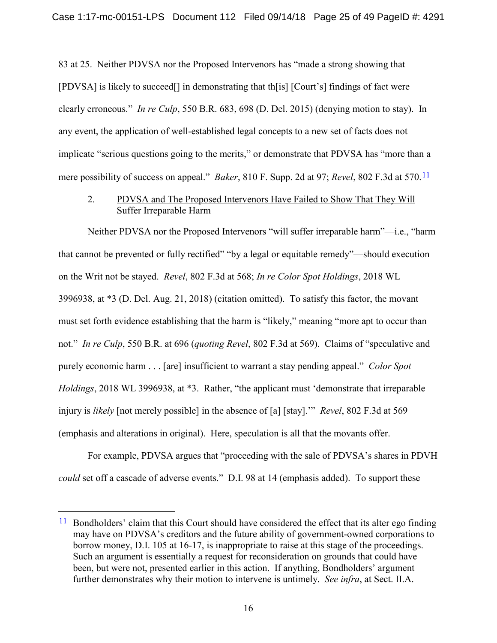<span id="page-24-2"></span>83 at 25. Neither PDVSA nor the Proposed Intervenors has "made a strong showing that [PDVSA] is likely to succeed[] in demonstrating that th[is] [Court's] findings of fact were clearly erroneous." *In re Culp*, 550 B.R. 683, 698 (D. Del. 2015) (denying motion to stay). In any event, the application of well-established legal concepts to a new set of facts does not implicate "serious questions going to the merits," or demonstrate that PDVSA has "more than a mere possibility of success on appeal." *Baker*, 810 F. Supp. 2d at 97; *Revel*, 802 F.3d at 570.[11](#page-24-5)

#### <span id="page-24-3"></span><span id="page-24-1"></span><span id="page-24-0"></span>2. PDVSA and The Proposed Intervenors Have Failed to Show That They Will Suffer Irreparable Harm

Neither PDVSA nor the Proposed Intervenors "will suffer irreparable harm"—i.e., "harm that cannot be prevented or fully rectified" "by a legal or equitable remedy"—should execution on the Writ not be stayed. *Revel*, 802 F.3d at 568; *In re Color Spot Holdings*, 2018 WL 3996938, at \*3 (D. Del. Aug. 21, 2018) (citation omitted). To satisfy this factor, the movant must set forth evidence establishing that the harm is "likely," meaning "more apt to occur than not." *In re Culp*, 550 B.R. at 696 (*quoting Revel*, 802 F.3d at 569). Claims of "speculative and purely economic harm . . . [are] insufficient to warrant a stay pending appeal." *Color Spot Holdings*, 2018 WL 3996938, at \*3. Rather, "the applicant must 'demonstrate that irreparable injury is *likely* [not merely possible] in the absence of [a] [stay].'" *Revel*, 802 F.3d at 569 (emphasis and alterations in original). Here, speculation is all that the movants offer.

<span id="page-24-4"></span>For example, PDVSA argues that "proceeding with the sale of PDVSA's shares in PDVH *could* set off a cascade of adverse events." D.I. 98 at 14 (emphasis added). To support these

<span id="page-24-5"></span><sup>&</sup>lt;sup>11</sup> Bondholders' claim that this Court should have considered the effect that its alter ego finding may have on PDVSA's creditors and the future ability of government-owned corporations to borrow money, D.I. 105 at 16-17, is inappropriate to raise at this stage of the proceedings. Such an argument is essentially a request for reconsideration on grounds that could have been, but were not, presented earlier in this action. If anything, Bondholders' argument further demonstrates why their motion to intervene is untimely. *See infra*, at Sect. II.A.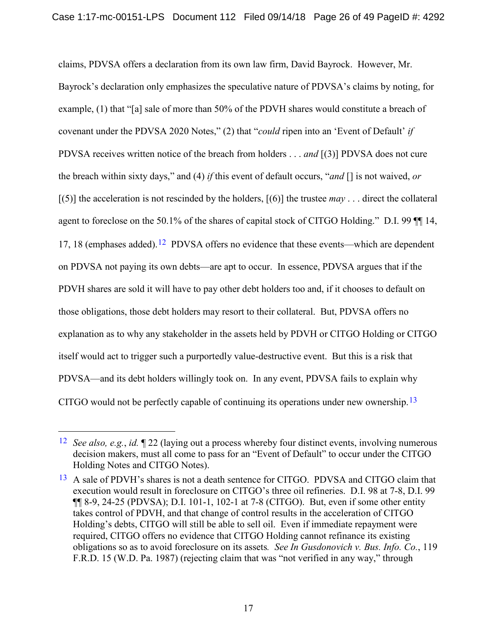claims, PDVSA offers a declaration from its own law firm, David Bayrock. However, Mr. Bayrock's declaration only emphasizes the speculative nature of PDVSA's claims by noting, for example, (1) that "[a] sale of more than 50% of the PDVH shares would constitute a breach of covenant under the PDVSA 2020 Notes," (2) that "*could* ripen into an 'Event of Default' *if*  PDVSA receives written notice of the breach from holders . . . *and* [(3)] PDVSA does not cure the breach within sixty days," and (4) *if* this event of default occurs, "*and* [] is not waived, *or* [(5)] the acceleration is not rescinded by the holders, [(6)] the trustee *may* . . . direct the collateral agent to foreclose on the 50.1% of the shares of capital stock of CITGO Holding." D.I. 99 ¶¶ 14, 17, 18 (emphases added).<sup>[12](#page-25-0)</sup> PDVSA offers no evidence that these events—which are dependent on PDVSA not paying its own debts—are apt to occur. In essence, PDVSA argues that if the PDVH shares are sold it will have to pay other debt holders too and, if it chooses to default on those obligations, those debt holders may resort to their collateral. But, PDVSA offers no explanation as to why any stakeholder in the assets held by PDVH or CITGO Holding or CITGO itself would act to trigger such a purportedly value-destructive event. But this is a risk that PDVSA—and its debt holders willingly took on. In any event, PDVSA fails to explain why CITGO would not be perfectly capable of continuing its operations under new ownership.<sup>[13](#page-25-1)</sup>

<span id="page-25-0"></span> <sup>12</sup> *See also, e.g.*, *id.* ¶ 22 (laying out a process whereby four distinct events, involving numerous decision makers, must all come to pass for an "Event of Default" to occur under the CITGO Holding Notes and CITGO Notes).

<span id="page-25-1"></span><sup>&</sup>lt;sup>13</sup> A sale of PDVH's shares is not a death sentence for CITGO. PDVSA and CITGO claim that execution would result in foreclosure on CITGO's three oil refineries. D.I. 98 at 7-8, D.I. 99  $\P\P$  8-9, 24-25 (PDVSA); D.I. 101-1, 102-1 at 7-8 (CITGO). But, even if some other entity takes control of PDVH, and that change of control results in the acceleration of CITGO Holding's debts, CITGO will still be able to sell oil. Even if immediate repayment were required, CITGO offers no evidence that CITGO Holding cannot refinance its existing obligations so as to avoid foreclosure on its assets*. See In Gusdonovich v. Bus. Info. Co.*, 119 F.R.D. 15 (W.D. Pa. 1987) (rejecting claim that was "not verified in any way," through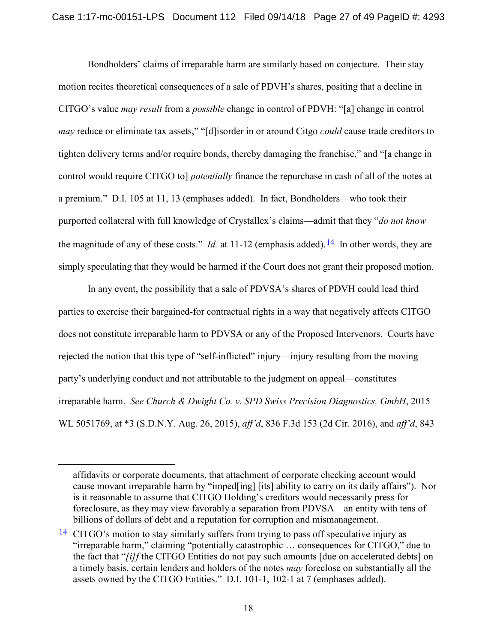Bondholders' claims of irreparable harm are similarly based on conjecture. Their stay motion recites theoretical consequences of a sale of PDVH's shares, positing that a decline in CITGO's value *may result* from a *possible* change in control of PDVH: "[a] change in control *may* reduce or eliminate tax assets," "[d]isorder in or around Citgo *could* cause trade creditors to tighten delivery terms and/or require bonds, thereby damaging the franchise," and "[a change in control would require CITGO to] *potentially* finance the repurchase in cash of all of the notes at a premium." D.I. 105 at 11, 13 (emphases added). In fact, Bondholders—who took their purported collateral with full knowledge of Crystallex's claims—admit that they "*do not know* the magnitude of any of these costs." *Id.* at 11-12 (emphasis added).<sup>[14](#page-26-0)</sup> In other words, they are simply speculating that they would be harmed if the Court does not grant their proposed motion.

In any event, the possibility that a sale of PDVSA's shares of PDVH could lead third parties to exercise their bargained-for contractual rights in a way that negatively affects CITGO does not constitute irreparable harm to PDVSA or any of the Proposed Intervenors. Courts have rejected the notion that this type of "self-inflicted" injury—injury resulting from the moving party's underlying conduct and not attributable to the judgment on appeal—constitutes irreparable harm. *See Church & Dwight Co. v. SPD Swiss Precision Diagnostics, GmbH*, 2015 WL 5051769, at \*3 (S.D.N.Y. Aug. 26, 2015), *aff'd*, 836 F.3d 153 (2d Cir. 2016), and *aff'd*, 843

 $\overline{a}$ 

affidavits or corporate documents, that attachment of corporate checking account would cause movant irreparable harm by "imped[ing] [its] ability to carry on its daily affairs"). Nor is it reasonable to assume that CITGO Holding's creditors would necessarily press for foreclosure, as they may view favorably a separation from PDVSA—an entity with tens of billions of dollars of debt and a reputation for corruption and mismanagement.

<span id="page-26-0"></span><sup>&</sup>lt;sup>14</sup> CITGO's motion to stay similarly suffers from trying to pass off speculative injury as "irreparable harm," claiming "potentially catastrophic … consequences for CITGO," due to the fact that "*[i]f* the CITGO Entities do not pay such amounts [due on accelerated debts] on a timely basis, certain lenders and holders of the notes *may* foreclose on substantially all the assets owned by the CITGO Entities." D.I. 101-1, 102-1 at 7 (emphases added).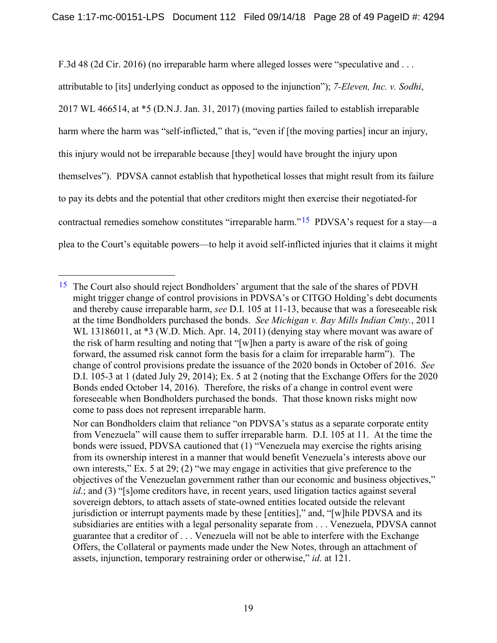F.3d 48 (2d Cir. 2016) (no irreparable harm where alleged losses were "speculative and ...

<span id="page-27-0"></span>attributable to [its] underlying conduct as opposed to the injunction"); *7-Eleven, Inc. v. Sodhi*, 2017 WL 466514, at \*5 (D.N.J. Jan. 31, 2017) (moving parties failed to establish irreparable harm where the harm was "self-inflicted," that is, "even if [the moving parties] incur an injury, this injury would not be irreparable because [they] would have brought the injury upon themselves"). PDVSA cannot establish that hypothetical losses that might result from its failure to pay its debts and the potential that other creditors might then exercise their negotiated-for contractual remedies somehow constitutes "irreparable harm."<sup>15</sup> PDVSA's request for a stay—a plea to the Court's equitable powers—to help it avoid self-inflicted injuries that it claims it might

<span id="page-27-2"></span><span id="page-27-1"></span><sup>&</sup>lt;sup>15</sup> The Court also should reject Bondholders' argument that the sale of the shares of PDVH might trigger change of control provisions in PDVSA's or CITGO Holding's debt documents and thereby cause irreparable harm, *see* D.I. 105 at 11-13, because that was a foreseeable risk at the time Bondholders purchased the bonds. *See Michigan v. Bay Mills Indian Cmty.*, 2011 WL 13186011, at \*3 (W.D. Mich. Apr. 14, 2011) (denying stay where movant was aware of the risk of harm resulting and noting that "[w]hen a party is aware of the risk of going forward, the assumed risk cannot form the basis for a claim for irreparable harm"). The change of control provisions predate the issuance of the 2020 bonds in October of 2016. *See*  D.I. 105-3 at 1 (dated July 29, 2014); Ex. 5 at 2 (noting that the Exchange Offers for the 2020 Bonds ended October 14, 2016). Therefore, the risks of a change in control event were foreseeable when Bondholders purchased the bonds. That those known risks might now come to pass does not represent irreparable harm.

Nor can Bondholders claim that reliance "on PDVSA's status as a separate corporate entity from Venezuela" will cause them to suffer irreparable harm. D.I. 105 at 11. At the time the bonds were issued, PDVSA cautioned that (1) "Venezuela may exercise the rights arising from its ownership interest in a manner that would benefit Venezuela's interests above our own interests," Ex. 5 at 29; (2) "we may engage in activities that give preference to the objectives of the Venezuelan government rather than our economic and business objectives," *id*.; and (3) "[s]ome creditors have, in recent years, used litigation tactics against several sovereign debtors, to attach assets of state-owned entities located outside the relevant jurisdiction or interrupt payments made by these [entities]," and, "[w]hile PDVSA and its subsidiaries are entities with a legal personality separate from . . . Venezuela, PDVSA cannot guarantee that a creditor of . . . Venezuela will not be able to interfere with the Exchange Offers, the Collateral or payments made under the New Notes, through an attachment of assets, injunction, temporary restraining order or otherwise," *id*. at 121.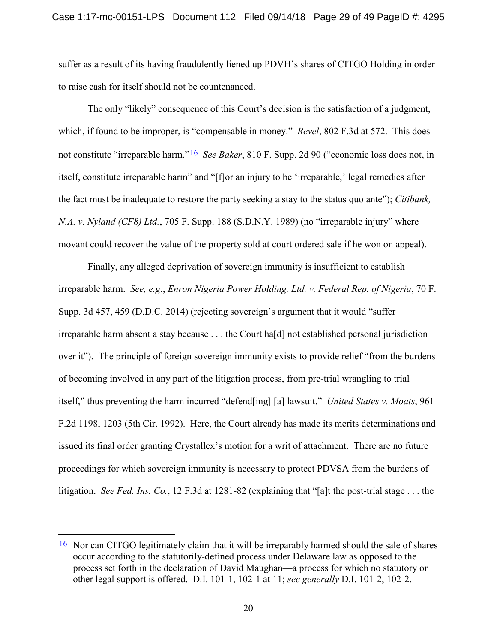suffer as a result of its having fraudulently liened up PDVH's shares of CITGO Holding in order to raise cash for itself should not be countenanced.

<span id="page-28-3"></span><span id="page-28-0"></span>The only "likely" consequence of this Court's decision is the satisfaction of a judgment, which, if found to be improper, is "compensable in money." *Revel*, 802 F.3d at 572. This does not constitute "irreparable harm."[16](#page-28-5) *See Baker*, 810 F. Supp. 2d 90 ("economic loss does not, in itself, constitute irreparable harm" and "[f]or an injury to be 'irreparable,' legal remedies after the fact must be inadequate to restore the party seeking a stay to the status quo ante"); *Citibank, N.A. v. Nyland (CF8) Ltd.*, 705 F. Supp. 188 (S.D.N.Y. 1989) (no "irreparable injury" where movant could recover the value of the property sold at court ordered sale if he won on appeal).

<span id="page-28-4"></span><span id="page-28-2"></span><span id="page-28-1"></span>Finally, any alleged deprivation of sovereign immunity is insufficient to establish irreparable harm. *See, e.g.*, *Enron Nigeria Power Holding, Ltd. v. Federal Rep. of Nigeria*, 70 F. Supp. 3d 457, 459 (D.D.C. 2014) (rejecting sovereign's argument that it would "suffer irreparable harm absent a stay because . . . the Court ha[d] not established personal jurisdiction over it"). The principle of foreign sovereign immunity exists to provide relief "from the burdens of becoming involved in any part of the litigation process, from pre-trial wrangling to trial itself," thus preventing the harm incurred "defend[ing] [a] lawsuit." *United States v. Moats*, 961 F.2d 1198, 1203 (5th Cir. 1992). Here, the Court already has made its merits determinations and issued its final order granting Crystallex's motion for a writ of attachment. There are no future proceedings for which sovereign immunity is necessary to protect PDVSA from the burdens of litigation. *See Fed. Ins. Co.*, 12 F.3d at 1281-82 (explaining that "[a]t the post-trial stage . . . the

<span id="page-28-5"></span> <sup>16</sup> Nor can CITGO legitimately claim that it will be irreparably harmed should the sale of shares occur according to the statutorily-defined process under Delaware law as opposed to the process set forth in the declaration of David Maughan—a process for which no statutory or other legal support is offered. D.I. 101-1, 102-1 at 11; *see generally* D.I. 101-2, 102-2.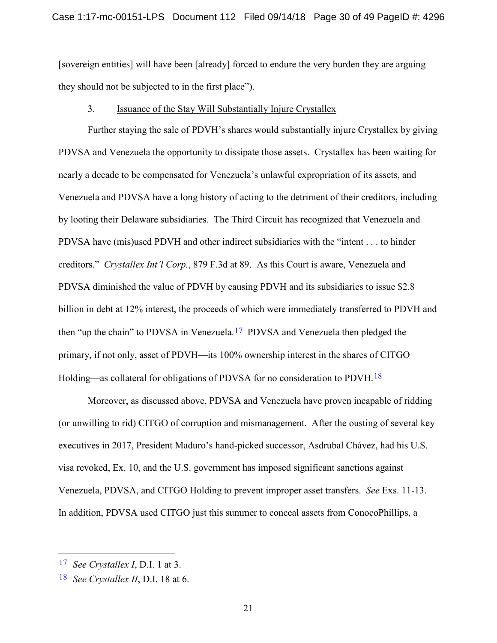[sovereign entities] will have been [already] forced to endure the very burden they are arguing they should not be subjected to in the first place").

#### 3. Issuance of the Stay Will Substantially Injure Crystallex

<span id="page-29-1"></span>Further staying the sale of PDVH's shares would substantially injure Crystallex by giving PDVSA and Venezuela the opportunity to dissipate those assets. Crystallex has been waiting for nearly a decade to be compensated for Venezuela's unlawful expropriation of its assets, and Venezuela and PDVSA have a long history of acting to the detriment of their creditors, including by looting their Delaware subsidiaries. The Third Circuit has recognized that Venezuela and PDVSA have (mis)used PDVH and other indirect subsidiaries with the "intent . . . to hinder creditors." *Crystallex Int'l Corp.*, 879 F.3d at 89. As this Court is aware, Venezuela and PDVSA diminished the value of PDVH by causing PDVH and its subsidiaries to issue \$2.8 billion in debt at 12% interest, the proceeds of which were immediately transferred to PDVH and then "up the chain" to PDVSA in Venezuela.<sup>[17](#page-29-2)</sup> PDVSA and Venezuela then pledged the primary, if not only, asset of PDVH—its 100% ownership interest in the shares of CITGO Holding—as collateral for obligations of PDVSA for no consideration to PDVH.[18](#page-29-3) 

Moreover, as discussed above, PDVSA and Venezuela have proven incapable of ridding (or unwilling to rid) CITGO of corruption and mismanagement. After the ousting of several key executives in 2017, President Maduro's hand-picked successor, Asdrubal Chávez, had his U.S. visa revoked, Ex. 10, and the U.S. government has imposed significant sanctions against Venezuela, PDVSA, and CITGO Holding to prevent improper asset transfers. *See* Exs. 11-13. In addition, PDVSA used CITGO just this summer to conceal assets from ConocoPhillips, a

<span id="page-29-2"></span><span id="page-29-0"></span> <sup>17</sup> *See Crystallex I*, D.I. 1 at 3.

<span id="page-29-3"></span><sup>18</sup> *See Crystallex II*, D.I. 18 at 6.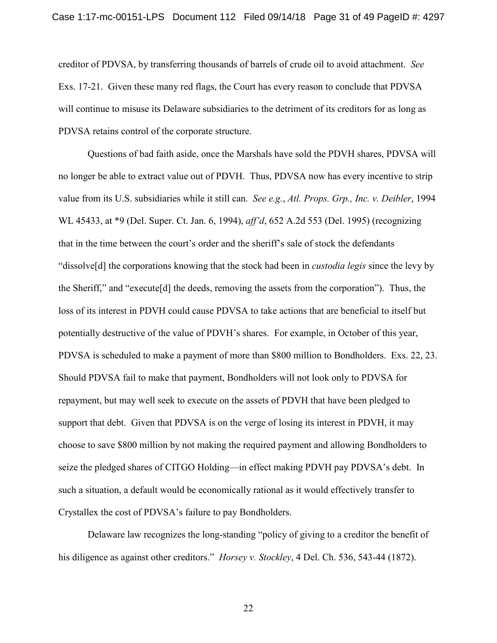creditor of PDVSA, by transferring thousands of barrels of crude oil to avoid attachment. *See* Exs. 17-21. Given these many red flags, the Court has every reason to conclude that PDVSA will continue to misuse its Delaware subsidiaries to the detriment of its creditors for as long as PDVSA retains control of the corporate structure.

<span id="page-30-0"></span>Questions of bad faith aside, once the Marshals have sold the PDVH shares, PDVSA will no longer be able to extract value out of PDVH. Thus, PDVSA now has every incentive to strip value from its U.S. subsidiaries while it still can. *See e.g.*, *Atl. Props. Grp., Inc. v. Deibler*, 1994 WL 45433, at \*9 (Del. Super. Ct. Jan. 6, 1994), *aff'd*, 652 A.2d 553 (Del. 1995) (recognizing that in the time between the court's order and the sheriff's sale of stock the defendants "dissolve[d] the corporations knowing that the stock had been in *custodia legis* since the levy by the Sheriff," and "execute[d] the deeds, removing the assets from the corporation"). Thus, the loss of its interest in PDVH could cause PDVSA to take actions that are beneficial to itself but potentially destructive of the value of PDVH's shares. For example, in October of this year, PDVSA is scheduled to make a payment of more than \$800 million to Bondholders. Exs. 22, 23. Should PDVSA fail to make that payment, Bondholders will not look only to PDVSA for repayment, but may well seek to execute on the assets of PDVH that have been pledged to support that debt. Given that PDVSA is on the verge of losing its interest in PDVH, it may choose to save \$800 million by not making the required payment and allowing Bondholders to seize the pledged shares of CITGO Holding—in effect making PDVH pay PDVSA's debt. In such a situation, a default would be economically rational as it would effectively transfer to Crystallex the cost of PDVSA's failure to pay Bondholders.

Delaware law recognizes the long-standing "policy of giving to a creditor the benefit of his diligence as against other creditors." *Horsey v. Stockley*, 4 Del. Ch. 536, 543-44 (1872).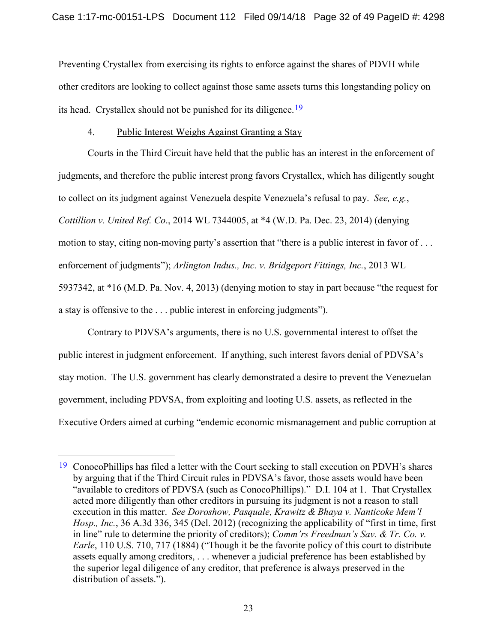Preventing Crystallex from exercising its rights to enforce against the shares of PDVH while other creditors are looking to collect against those same assets turns this longstanding policy on its head. Crystallex should not be punished for its diligence.<sup>[19](#page-31-3)</sup>

#### 4. Public Interest Weighs Against Granting a Stay

<span id="page-31-1"></span>Courts in the Third Circuit have held that the public has an interest in the enforcement of judgments, and therefore the public interest prong favors Crystallex, which has diligently sought to collect on its judgment against Venezuela despite Venezuela's refusal to pay. *See, e.g.*, *Cottillion v. United Ref. Co*., 2014 WL 7344005, at \*4 (W.D. Pa. Dec. 23, 2014) (denying motion to stay, citing non-moving party's assertion that "there is a public interest in favor of . . . enforcement of judgments"); *Arlington Indus., Inc. v. Bridgeport Fittings, Inc.*, 2013 WL 5937342, at \*16 (M.D. Pa. Nov. 4, 2013) (denying motion to stay in part because "the request for a stay is offensive to the . . . public interest in enforcing judgments").

Contrary to PDVSA's arguments, there is no U.S. governmental interest to offset the public interest in judgment enforcement. If anything, such interest favors denial of PDVSA's stay motion. The U.S. government has clearly demonstrated a desire to prevent the Venezuelan government, including PDVSA, from exploiting and looting U.S. assets, as reflected in the Executive Orders aimed at curbing "endemic economic mismanagement and public corruption at

<span id="page-31-3"></span><span id="page-31-2"></span><span id="page-31-0"></span><sup>&</sup>lt;sup>19</sup> ConocoPhillips has filed a letter with the Court seeking to stall execution on PDVH's shares by arguing that if the Third Circuit rules in PDVSA's favor, those assets would have been "available to creditors of PDVSA (such as ConocoPhillips)." D.I. 104 at 1. That Crystallex acted more diligently than other creditors in pursuing its judgment is not a reason to stall execution in this matter. *See Doroshow, Pasquale, Krawitz & Bhaya v. Nanticoke Mem'l Hosp., Inc.*, 36 A.3d 336, 345 (Del. 2012) (recognizing the applicability of "first in time, first in line" rule to determine the priority of creditors); *Comm'rs Freedman's Sav. & Tr. Co. v. Earle*, 110 U.S. 710, 717 (1884) ("Though it be the favorite policy of this court to distribute assets equally among creditors, . . . whenever a judicial preference has been established by the superior legal diligence of any creditor, that preference is always preserved in the distribution of assets.").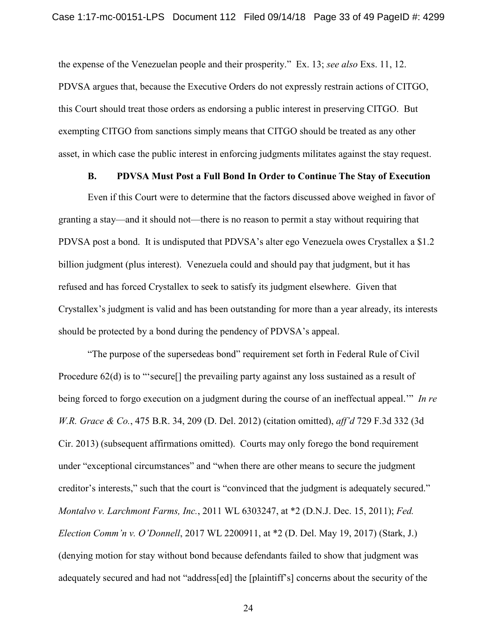the expense of the Venezuelan people and their prosperity." Ex. 13; *see also* Exs. 11, 12. PDVSA argues that, because the Executive Orders do not expressly restrain actions of CITGO, this Court should treat those orders as endorsing a public interest in preserving CITGO. But exempting CITGO from sanctions simply means that CITGO should be treated as any other asset, in which case the public interest in enforcing judgments militates against the stay request.

#### **B. PDVSA Must Post a Full Bond In Order to Continue The Stay of Execution**

Even if this Court were to determine that the factors discussed above weighed in favor of granting a stay—and it should not—there is no reason to permit a stay without requiring that PDVSA post a bond. It is undisputed that PDVSA's alter ego Venezuela owes Crystallex a \$1.2 billion judgment (plus interest). Venezuela could and should pay that judgment, but it has refused and has forced Crystallex to seek to satisfy its judgment elsewhere. Given that Crystallex's judgment is valid and has been outstanding for more than a year already, its interests should be protected by a bond during the pendency of PDVSA's appeal.

<span id="page-32-1"></span><span id="page-32-0"></span>"The purpose of the supersedeas bond" requirement set forth in Federal Rule of Civil Procedure 62(d) is to "'secure<sup>[]</sup> the prevailing party against any loss sustained as a result of being forced to forgo execution on a judgment during the course of an ineffectual appeal.'" *In re W.R. Grace & Co.*, 475 B.R. 34, 209 (D. Del. 2012) (citation omitted), *aff'd* 729 F.3d 332 (3d Cir. 2013) (subsequent affirmations omitted). Courts may only forego the bond requirement under "exceptional circumstances" and "when there are other means to secure the judgment creditor's interests," such that the court is "convinced that the judgment is adequately secured." *Montalvo v. Larchmont Farms, Inc.*, 2011 WL 6303247, at \*2 (D.N.J. Dec. 15, 2011); *Fed. Election Comm'n v. O'Donnell*, 2017 WL 2200911, at \*2 (D. Del. May 19, 2017) (Stark, J.) (denying motion for stay without bond because defendants failed to show that judgment was adequately secured and had not "address[ed] the [plaintiff's] concerns about the security of the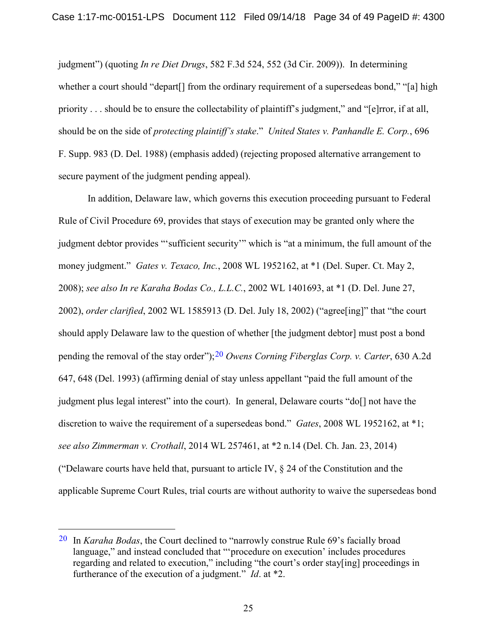<span id="page-33-3"></span><span id="page-33-0"></span>judgment") (quoting *In re Diet Drugs*, 582 F.3d 524, 552 (3d Cir. 2009)). In determining whether a court should "depart<sup>[]</sup> from the ordinary requirement of a supersedeas bond," "[a] high priority . . . should be to ensure the collectability of plaintiff's judgment," and "[e]rror, if at all, should be on the side of *protecting plaintiff's stake*." *United States v. Panhandle E. Corp.*, 696 F. Supp. 983 (D. Del. 1988) (emphasis added) (rejecting proposed alternative arrangement to secure payment of the judgment pending appeal).

<span id="page-33-2"></span><span id="page-33-1"></span>In addition, Delaware law, which governs this execution proceeding pursuant to Federal Rule of Civil Procedure 69, provides that stays of execution may be granted only where the judgment debtor provides "'sufficient security'" which is "at a minimum, the full amount of the money judgment." *Gates v. Texaco, Inc.*, 2008 WL 1952162, at \*1 (Del. Super. Ct. May 2, 2008); *see also In re Karaha Bodas Co., L.L.C.*, 2002 WL 1401693, at \*1 (D. Del. June 27, 2002), *order clarified*, 2002 WL 1585913 (D. Del. July 18, 2002) ("agree[ing]" that "the court should apply Delaware law to the question of whether [the judgment debtor] must post a bond pending the removal of the stay order");[20](#page-33-4) *Owens Corning Fiberglas Corp. v. Carter*, 630 A.2d 647, 648 (Del. 1993) (affirming denial of stay unless appellant "paid the full amount of the judgment plus legal interest" into the court). In general, Delaware courts "do[] not have the discretion to waive the requirement of a supersedeas bond." *Gates*, 2008 WL 1952162, at \*1; *see also Zimmerman v. Crothall*, 2014 WL 257461, at \*2 n.14 (Del. Ch. Jan. 23, 2014) ("Delaware courts have held that, pursuant to article IV,  $\S$  24 of the Constitution and the applicable Supreme Court Rules, trial courts are without authority to waive the supersedeas bond

<span id="page-33-4"></span> <sup>20</sup> In *Karaha Bodas*, the Court declined to "narrowly construe Rule 69's facially broad language," and instead concluded that "'procedure on execution' includes procedures regarding and related to execution," including "the court's order stay[ing] proceedings in furtherance of the execution of a judgment." *Id*. at \*2.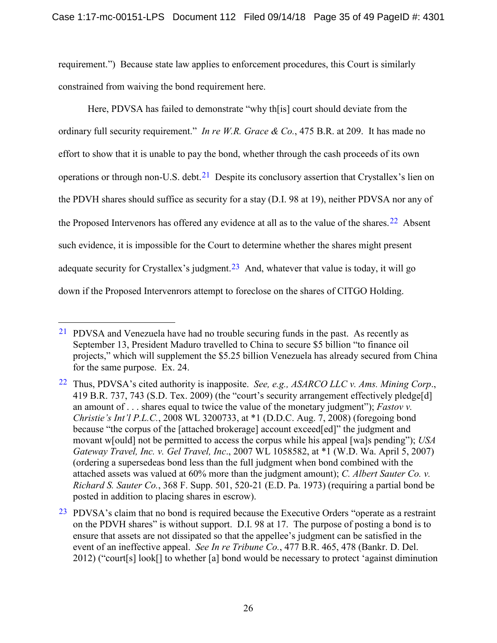requirement.") Because state law applies to enforcement procedures, this Court is similarly constrained from waiving the bond requirement here.

<span id="page-34-2"></span>Here, PDVSA has failed to demonstrate "why th[is] court should deviate from the ordinary full security requirement." *In re W.R. Grace & Co.*, 475 B.R. at 209. It has made no effort to show that it is unable to pay the bond, whether through the cash proceeds of its own operations or through non-U.S. debt.<sup>21</sup> Despite its conclusory assertion that Crystallex's lien on the PDVH shares should suffice as security for a stay (D.I. 98 at 19), neither PDVSA nor any of the Proposed Intervenors has offered any evidence at all as to the value of the shares.<sup>22</sup> Absent such evidence, it is impossible for the Court to determine whether the shares might present adequate security for Crystallex's judgment.<sup>23</sup> And, whatever that value is today, it will go down if the Proposed Intervenrors attempt to foreclose on the shares of CITGO Holding.

<span id="page-34-3"></span> <sup>21</sup> PDVSA and Venezuela have had no trouble securing funds in the past. As recently as September 13, President Maduro travelled to China to secure \$5 billion "to finance oil projects," which will supplement the \$5.25 billion Venezuela has already secured from China for the same purpose. Ex. 24.

<span id="page-34-4"></span><span id="page-34-1"></span><sup>22</sup> Thus, PDVSA's cited authority is inapposite. *See, e.g., ASARCO LLC v. Ams. Mining Corp*., 419 B.R. 737, 743 (S.D. Tex. 2009) (the "court's security arrangement effectively pledge[d] an amount of . . . shares equal to twice the value of the monetary judgment"); *Fastov v. Christie's Int'l P.L.C.*, 2008 WL 3200733, at \*1 (D.D.C. Aug. 7, 2008) (foregoing bond because "the corpus of the [attached brokerage] account exceed[ed]" the judgment and movant w[ould] not be permitted to access the corpus while his appeal [wa]s pending"); *USA Gateway Travel, Inc. v. Gel Travel, Inc*., 2007 WL 1058582, at \*1 (W.D. Wa. April 5, 2007) (ordering a supersedeas bond less than the full judgment when bond combined with the attached assets was valued at 60% more than the judgment amount); *C. Albert Sauter Co. v. Richard S. Sauter Co.*, 368 F. Supp. 501, 520-21 (E.D. Pa. 1973) (requiring a partial bond be posted in addition to placing shares in escrow).

<span id="page-34-5"></span><span id="page-34-0"></span> $23$  PDVSA's claim that no bond is required because the Executive Orders "operate as a restraint on the PDVH shares" is without support. D.I. 98 at 17. The purpose of posting a bond is to ensure that assets are not dissipated so that the appellee's judgment can be satisfied in the event of an ineffective appeal. *See In re Tribune Co.*, 477 B.R. 465, 478 (Bankr. D. Del. 2012) ("court[s] look[] to whether [a] bond would be necessary to protect 'against diminution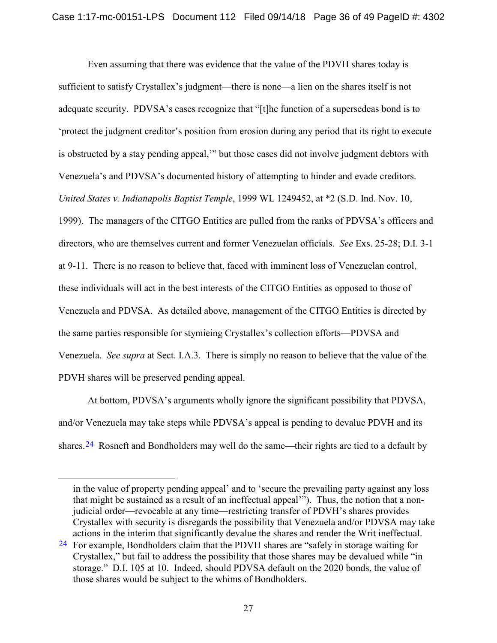<span id="page-35-0"></span>Even assuming that there was evidence that the value of the PDVH shares today is sufficient to satisfy Crystallex's judgment—there is none—a lien on the shares itself is not adequate security. PDVSA's cases recognize that "[t]he function of a supersedeas bond is to 'protect the judgment creditor's position from erosion during any period that its right to execute is obstructed by a stay pending appeal,'" but those cases did not involve judgment debtors with Venezuela's and PDVSA's documented history of attempting to hinder and evade creditors. *United States v. Indianapolis Baptist Temple*, 1999 WL 1249452, at \*2 (S.D. Ind. Nov. 10, 1999). The managers of the CITGO Entities are pulled from the ranks of PDVSA's officers and directors, who are themselves current and former Venezuelan officials. *See* Exs. 25-28; D.I. 3-1 at 9-11. There is no reason to believe that, faced with imminent loss of Venezuelan control, these individuals will act in the best interests of the CITGO Entities as opposed to those of Venezuela and PDVSA. As detailed above, management of the CITGO Entities is directed by the same parties responsible for stymieing Crystallex's collection efforts—PDVSA and Venezuela. *See supra* at Sect. I.A.3. There is simply no reason to believe that the value of the PDVH shares will be preserved pending appeal.

At bottom, PDVSA's arguments wholly ignore the significant possibility that PDVSA, and/or Venezuela may take steps while PDVSA's appeal is pending to devalue PDVH and its shares.<sup>24</sup> Rosneft and Bondholders may well do the same—their rights are tied to a default by

 $\overline{a}$ 

in the value of property pending appeal' and to 'secure the prevailing party against any loss that might be sustained as a result of an ineffectual appeal'"). Thus, the notion that a nonjudicial order—revocable at any time—restricting transfer of PDVH's shares provides Crystallex with security is disregards the possibility that Venezuela and/or PDVSA may take actions in the interim that significantly devalue the shares and render the Writ ineffectual.

<span id="page-35-1"></span> $24$  For example, Bondholders claim that the PDVH shares are "safely in storage waiting for Crystallex," but fail to address the possibility that those shares may be devalued while "in storage." D.I. 105 at 10. Indeed, should PDVSA default on the 2020 bonds, the value of those shares would be subject to the whims of Bondholders.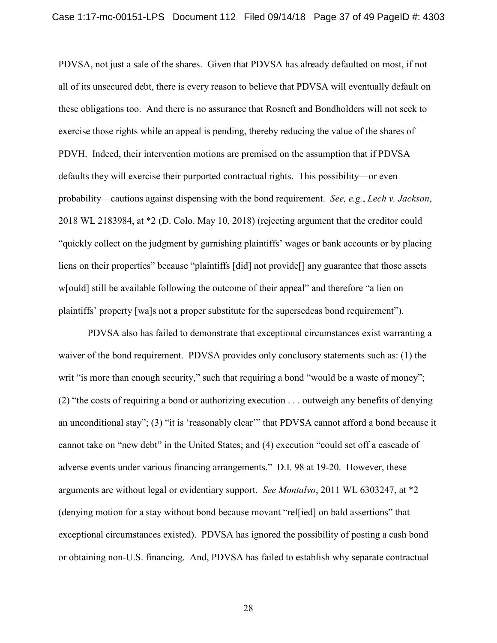<span id="page-36-0"></span>PDVSA, not just a sale of the shares. Given that PDVSA has already defaulted on most, if not all of its unsecured debt, there is every reason to believe that PDVSA will eventually default on these obligations too. And there is no assurance that Rosneft and Bondholders will not seek to exercise those rights while an appeal is pending, thereby reducing the value of the shares of PDVH. Indeed, their intervention motions are premised on the assumption that if PDVSA defaults they will exercise their purported contractual rights. This possibility—or even probability—cautions against dispensing with the bond requirement. *See, e.g.*, *Lech v. Jackson*, 2018 WL 2183984, at \*2 (D. Colo. May 10, 2018) (rejecting argument that the creditor could "quickly collect on the judgment by garnishing plaintiffs' wages or bank accounts or by placing liens on their properties" because "plaintiffs [did] not provide[] any guarantee that those assets w[ould] still be available following the outcome of their appeal" and therefore "a lien on plaintiffs' property [wa]s not a proper substitute for the supersedeas bond requirement").

PDVSA also has failed to demonstrate that exceptional circumstances exist warranting a waiver of the bond requirement. PDVSA provides only conclusory statements such as: (1) the writ "is more than enough security," such that requiring a bond "would be a waste of money"; (2) "the costs of requiring a bond or authorizing execution . . . outweigh any benefits of denying an unconditional stay"; (3) "it is 'reasonably clear'" that PDVSA cannot afford a bond because it cannot take on "new debt" in the United States; and (4) execution "could set off a cascade of adverse events under various financing arrangements." D.I. 98 at 19-20. However, these arguments are without legal or evidentiary support. *See Montalvo*, 2011 WL 6303247, at \*2 (denying motion for a stay without bond because movant "rel[ied] on bald assertions" that exceptional circumstances existed). PDVSA has ignored the possibility of posting a cash bond or obtaining non-U.S. financing. And, PDVSA has failed to establish why separate contractual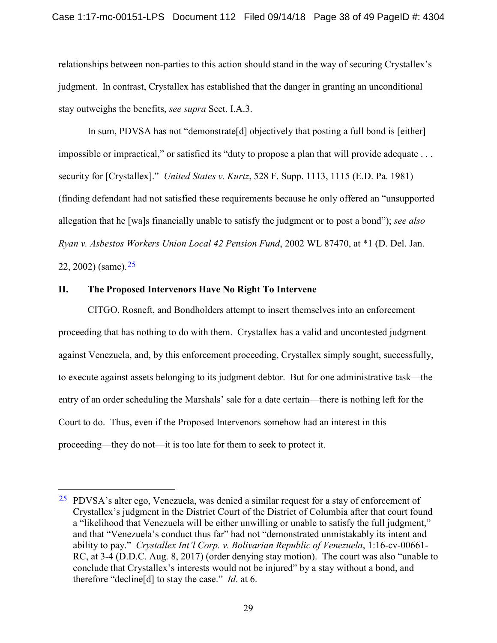relationships between non-parties to this action should stand in the way of securing Crystallex's judgment. In contrast, Crystallex has established that the danger in granting an unconditional stay outweighs the benefits, *see supra* Sect. I.A.3.

<span id="page-37-1"></span>In sum, PDVSA has not "demonstrate[d] objectively that posting a full bond is [either] impossible or impractical," or satisfied its "duty to propose a plan that will provide adequate . . . security for [Crystallex]." *United States v. Kurtz*, 528 F. Supp. 1113, 1115 (E.D. Pa. 1981) (finding defendant had not satisfied these requirements because he only offered an "unsupported allegation that he [wa]s financially unable to satisfy the judgment or to post a bond"); *see also Ryan v. Asbestos Workers Union Local 42 Pension Fund*, 2002 WL 87470, at \*1 (D. Del. Jan.

<span id="page-37-0"></span>22, 2002) (same).  $25$ 

#### **II. The Proposed Intervenors Have No Right To Intervene**

CITGO, Rosneft, and Bondholders attempt to insert themselves into an enforcement proceeding that has nothing to do with them. Crystallex has a valid and uncontested judgment against Venezuela, and, by this enforcement proceeding, Crystallex simply sought, successfully, to execute against assets belonging to its judgment debtor. But for one administrative task—the entry of an order scheduling the Marshals' sale for a date certain—there is nothing left for the Court to do. Thus, even if the Proposed Intervenors somehow had an interest in this proceeding—they do not—it is too late for them to seek to protect it.

<span id="page-37-2"></span> <sup>25</sup> PDVSA's alter ego, Venezuela, was denied a similar request for a stay of enforcement of Crystallex's judgment in the District Court of the District of Columbia after that court found a "likelihood that Venezuela will be either unwilling or unable to satisfy the full judgment," and that "Venezuela's conduct thus far" had not "demonstrated unmistakably its intent and ability to pay." *Crystallex Int'l Corp. v. Bolivarian Republic of Venezuela*, 1:16-cv-00661- RC, at 3-4 (D.D.C. Aug. 8, 2017) (order denying stay motion). The court was also "unable to conclude that Crystallex's interests would not be injured" by a stay without a bond, and therefore "decline[d] to stay the case." *Id*. at 6.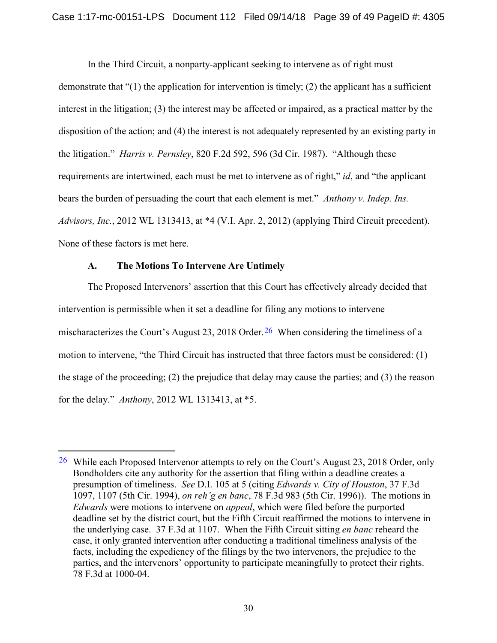<span id="page-38-2"></span>In the Third Circuit, a nonparty-applicant seeking to intervene as of right must demonstrate that "(1) the application for intervention is timely; (2) the applicant has a sufficient interest in the litigation; (3) the interest may be affected or impaired, as a practical matter by the disposition of the action; and (4) the interest is not adequately represented by an existing party in the litigation." *Harris v. Pernsley*, 820 F.2d 592, 596 (3d Cir. 1987). "Although these requirements are intertwined, each must be met to intervene as of right," *id*, and "the applicant bears the burden of persuading the court that each element is met." *Anthony v. Indep. Ins. Advisors, Inc.*, 2012 WL 1313413, at \*4 (V.I. Apr. 2, 2012) (applying Third Circuit precedent). None of these factors is met here.

## <span id="page-38-0"></span>**A. The Motions To Intervene Are Untimely**

The Proposed Intervenors' assertion that this Court has effectively already decided that intervention is permissible when it set a deadline for filing any motions to intervene mischaracterizes the Court's August 23, 2018 Order.<sup>26</sup> When considering the timeliness of a motion to intervene, "the Third Circuit has instructed that three factors must be considered: (1) the stage of the proceeding; (2) the prejudice that delay may cause the parties; and (3) the reason for the delay." *Anthony*, 2012 WL 1313413, at \*5.

<span id="page-38-3"></span><span id="page-38-1"></span> $26$  While each Proposed Intervenor attempts to rely on the Court's August 23, 2018 Order, only Bondholders cite any authority for the assertion that filing within a deadline creates a presumption of timeliness. *See* D.I. 105 at 5 (citing *Edwards v. City of Houston*, 37 F.3d 1097, 1107 (5th Cir. 1994), *on reh'g en banc*, 78 F.3d 983 (5th Cir. 1996)). The motions in *Edwards* were motions to intervene on *appeal*, which were filed before the purported deadline set by the district court, but the Fifth Circuit reaffirmed the motions to intervene in the underlying case. 37 F.3d at 1107. When the Fifth Circuit sitting *en banc* reheard the case, it only granted intervention after conducting a traditional timeliness analysis of the facts, including the expediency of the filings by the two intervenors, the prejudice to the parties, and the intervenors' opportunity to participate meaningfully to protect their rights. 78 F.3d at 1000-04.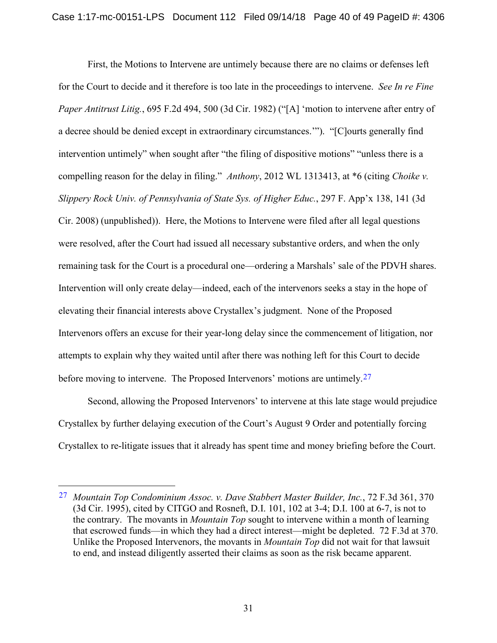<span id="page-39-1"></span><span id="page-39-0"></span>First, the Motions to Intervene are untimely because there are no claims or defenses left for the Court to decide and it therefore is too late in the proceedings to intervene. *See In re Fine Paper Antitrust Litig.*, 695 F.2d 494, 500 (3d Cir. 1982) ("[A] 'motion to intervene after entry of a decree should be denied except in extraordinary circumstances.'"). "[C]ourts generally find intervention untimely" when sought after "the filing of dispositive motions" "unless there is a compelling reason for the delay in filing." *Anthony*, 2012 WL 1313413, at \*6 (citing *Choike v. Slippery Rock Univ. of Pennsylvania of State Sys. of Higher Educ.*, 297 F. App'x 138, 141 (3d Cir. 2008) (unpublished)). Here, the Motions to Intervene were filed after all legal questions were resolved, after the Court had issued all necessary substantive orders, and when the only remaining task for the Court is a procedural one—ordering a Marshals' sale of the PDVH shares. Intervention will only create delay—indeed, each of the intervenors seeks a stay in the hope of elevating their financial interests above Crystallex's judgment. None of the Proposed Intervenors offers an excuse for their year-long delay since the commencement of litigation, nor attempts to explain why they waited until after there was nothing left for this Court to decide before moving to intervene. The Proposed Intervenors' motions are untimely.<sup>[27](#page-39-2)</sup>

Second, allowing the Proposed Intervenors' to intervene at this late stage would prejudice Crystallex by further delaying execution of the Court's August 9 Order and potentially forcing Crystallex to re-litigate issues that it already has spent time and money briefing before the Court.

<span id="page-39-2"></span> <sup>27</sup> *Mountain Top Condominium Assoc. v. Dave Stabbert Master Builder, Inc.*, 72 F.3d 361, 370 (3d Cir. 1995), cited by CITGO and Rosneft, D.I. 101, 102 at 3-4; D.I. 100 at 6-7, is not to the contrary. The movants in *Mountain Top* sought to intervene within a month of learning that escrowed funds—in which they had a direct interest—might be depleted. 72 F.3d at 370. Unlike the Proposed Intervenors, the movants in *Mountain Top* did not wait for that lawsuit to end, and instead diligently asserted their claims as soon as the risk became apparent.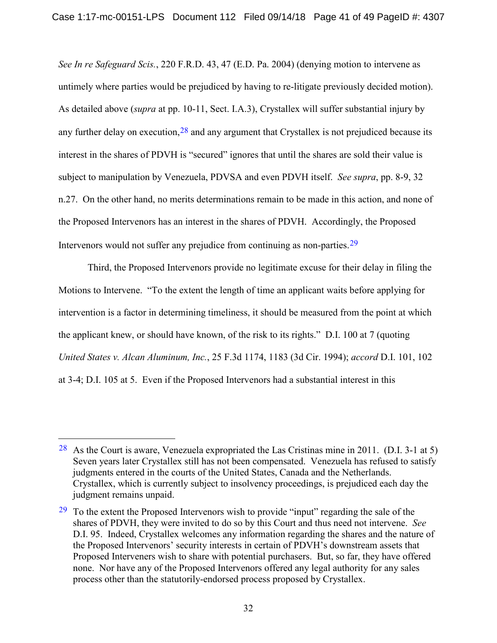<span id="page-40-0"></span>*See In re Safeguard Scis.*, 220 F.R.D. 43, 47 (E.D. Pa. 2004) (denying motion to intervene as untimely where parties would be prejudiced by having to re-litigate previously decided motion). As detailed above (*supra* at pp. 10-11, Sect. I.A.3), Crystallex will suffer substantial injury by any further delay on execution,  $28$  and any argument that Crystallex is not prejudiced because its interest in the shares of PDVH is "secured" ignores that until the shares are sold their value is subject to manipulation by Venezuela, PDVSA and even PDVH itself. *See supra*, pp. 8-9, 32 n.27. On the other hand, no merits determinations remain to be made in this action, and none of the Proposed Intervenors has an interest in the shares of PDVH. Accordingly, the Proposed Intervenors would not suffer any prejudice from continuing as non-parties.[29](#page-40-3)

<span id="page-40-1"></span>Third, the Proposed Intervenors provide no legitimate excuse for their delay in filing the Motions to Intervene. "To the extent the length of time an applicant waits before applying for intervention is a factor in determining timeliness, it should be measured from the point at which the applicant knew, or should have known, of the risk to its rights." D.I. 100 at 7 (quoting *United States v. Alcan Aluminum, Inc.*, 25 F.3d 1174, 1183 (3d Cir. 1994); *accord* D.I. 101, 102 at 3-4; D.I. 105 at 5. Even if the Proposed Intervenors had a substantial interest in this

<span id="page-40-2"></span> $28$  As the Court is aware, Venezuela expropriated the Las Cristinas mine in 2011. (D.I. 3-1 at 5) Seven years later Crystallex still has not been compensated. Venezuela has refused to satisfy judgments entered in the courts of the United States, Canada and the Netherlands. Crystallex, which is currently subject to insolvency proceedings, is prejudiced each day the judgment remains unpaid.

<span id="page-40-3"></span> $29$  To the extent the Proposed Intervenors wish to provide "input" regarding the sale of the shares of PDVH, they were invited to do so by this Court and thus need not intervene. *See* D.I. 95. Indeed, Crystallex welcomes any information regarding the shares and the nature of the Proposed Intervenors' security interests in certain of PDVH's downstream assets that Proposed Interveners wish to share with potential purchasers. But, so far, they have offered none. Nor have any of the Proposed Intervenors offered any legal authority for any sales process other than the statutorily-endorsed process proposed by Crystallex.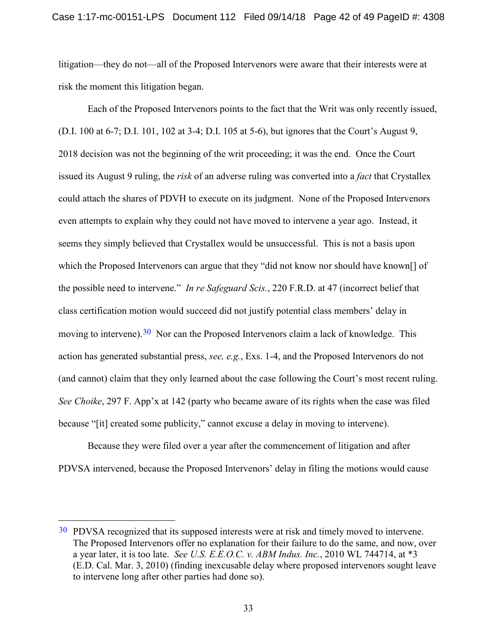litigation—they do not—all of the Proposed Intervenors were aware that their interests were at risk the moment this litigation began.

Each of the Proposed Intervenors points to the fact that the Writ was only recently issued, (D.I. 100 at 6-7; D.I. 101, 102 at 3-4; D.I. 105 at 5-6), but ignores that the Court's August 9, 2018 decision was not the beginning of the writ proceeding; it was the end. Once the Court issued its August 9 ruling, the *risk* of an adverse ruling was converted into a *fact* that Crystallex could attach the shares of PDVH to execute on its judgment. None of the Proposed Intervenors even attempts to explain why they could not have moved to intervene a year ago. Instead, it seems they simply believed that Crystallex would be unsuccessful. This is not a basis upon which the Proposed Intervenors can argue that they "did not know nor should have known[] of the possible need to intervene." *In re Safeguard Scis.*, 220 F.R.D. at 47 (incorrect belief that class certification motion would succeed did not justify potential class members' delay in moving to intervene).<sup>[30](#page-41-2)</sup> Nor can the Proposed Intervenors claim a lack of knowledge. This action has generated substantial press, *see, e.g.*, Exs. 1-4, and the Proposed Intervenors do not (and cannot) claim that they only learned about the case following the Court's most recent ruling. *See Choike*, 297 F. App'x at 142 (party who became aware of its rights when the case was filed because "[it] created some publicity," cannot excuse a delay in moving to intervene).

<span id="page-41-0"></span>Because they were filed over a year after the commencement of litigation and after PDVSA intervened, because the Proposed Intervenors' delay in filing the motions would cause

<span id="page-41-2"></span><span id="page-41-1"></span><sup>&</sup>lt;sup>30</sup> PDVSA recognized that its supposed interests were at risk and timely moved to intervene. The Proposed Intervenors offer no explanation for their failure to do the same, and now, over a year later, it is too late. *See U.S. E.E.O.C. v. ABM Indus. Inc.*, 2010 WL 744714, at \*3 (E.D. Cal. Mar. 3, 2010) (finding inexcusable delay where proposed intervenors sought leave to intervene long after other parties had done so).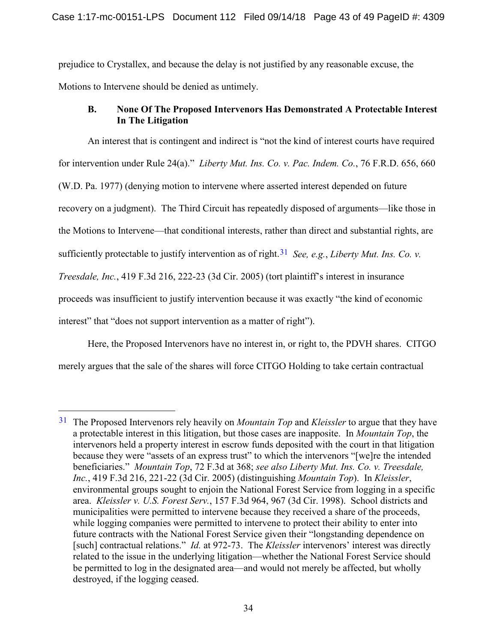prejudice to Crystallex, and because the delay is not justified by any reasonable excuse, the Motions to Intervene should be denied as untimely.

## <span id="page-42-0"></span>**B. None Of The Proposed Intervenors Has Demonstrated A Protectable Interest In The Litigation**

An interest that is contingent and indirect is "not the kind of interest courts have required for intervention under Rule 24(a)." *Liberty Mut. Ins. Co. v. Pac. Indem. Co.*, 76 F.R.D. 656, 660 (W.D. Pa. 1977) (denying motion to intervene where asserted interest depended on future recovery on a judgment). The Third Circuit has repeatedly disposed of arguments—like those in the Motions to Intervene—that conditional interests, rather than direct and substantial rights, are sufficiently protectable to justify intervention as of right.<sup>[31](#page-42-1)</sup> *See, e.g., Liberty Mut. Ins. Co. v. Treesdale, Inc.*, 419 F.3d 216, 222-23 (3d Cir. 2005) (tort plaintiff's interest in insurance proceeds was insufficient to justify intervention because it was exactly "the kind of economic interest" that "does not support intervention as a matter of right").

Here, the Proposed Intervenors have no interest in, or right to, the PDVH shares. CITGO merely argues that the sale of the shares will force CITGO Holding to take certain contractual

<span id="page-42-1"></span> <sup>31</sup> The Proposed Intervenors rely heavily on *Mountain Top* and *Kleissler* to argue that they have a protectable interest in this litigation, but those cases are inapposite. In *Mountain Top*, the intervenors held a property interest in escrow funds deposited with the court in that litigation because they were "assets of an express trust" to which the intervenors "[we]re the intended beneficiaries." *Mountain Top*, 72 F.3d at 368; *see also Liberty Mut. Ins. Co. v. Treesdale, Inc.*, 419 F.3d 216, 221-22 (3d Cir. 2005) (distinguishing *Mountain Top*). In *Kleissler*, environmental groups sought to enjoin the National Forest Service from logging in a specific area. *Kleissler v. U.S. Forest Serv.*, 157 F.3d 964, 967 (3d Cir. 1998). School districts and municipalities were permitted to intervene because they received a share of the proceeds, while logging companies were permitted to intervene to protect their ability to enter into future contracts with the National Forest Service given their "longstanding dependence on [such] contractual relations." *Id.* at 972-73. The *Kleissler* intervenors' interest was directly related to the issue in the underlying litigation—whether the National Forest Service should be permitted to log in the designated area—and would not merely be affected, but wholly destroyed, if the logging ceased.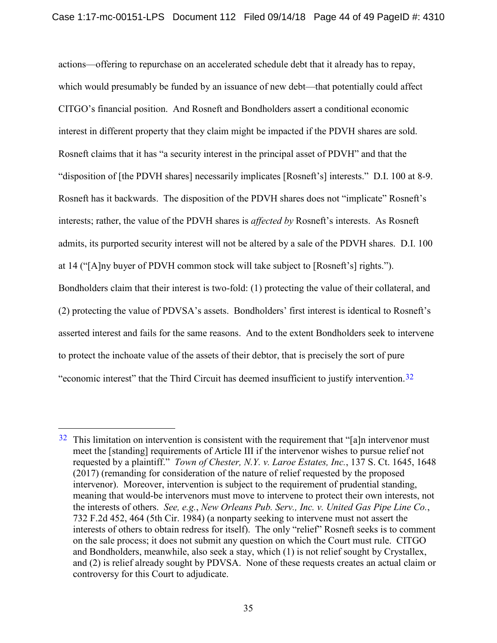actions—offering to repurchase on an accelerated schedule debt that it already has to repay, which would presumably be funded by an issuance of new debt—that potentially could affect CITGO's financial position. And Rosneft and Bondholders assert a conditional economic interest in different property that they claim might be impacted if the PDVH shares are sold. Rosneft claims that it has "a security interest in the principal asset of PDVH" and that the "disposition of [the PDVH shares] necessarily implicates [Rosneft's] interests." D.I. 100 at 8-9. Rosneft has it backwards. The disposition of the PDVH shares does not "implicate" Rosneft's interests; rather, the value of the PDVH shares is *affected by* Rosneft's interests. As Rosneft admits, its purported security interest will not be altered by a sale of the PDVH shares. D.I. 100 at 14 ("[A]ny buyer of PDVH common stock will take subject to [Rosneft's] rights."). Bondholders claim that their interest is two-fold: (1) protecting the value of their collateral, and (2) protecting the value of PDVSA's assets. Bondholders' first interest is identical to Rosneft's asserted interest and fails for the same reasons. And to the extent Bondholders seek to intervene to protect the inchoate value of the assets of their debtor, that is precisely the sort of pure "economic interest" that the Third Circuit has deemed insufficient to justify intervention.<sup>32</sup>

<span id="page-43-1"></span><span id="page-43-0"></span> $32$  This limitation on intervention is consistent with the requirement that "[a]n intervenor must meet the [standing] requirements of Article III if the intervenor wishes to pursue relief not requested by a plaintiff." *Town of Chester, N.Y. v. Laroe Estates, Inc.*, 137 S. Ct. 1645, 1648 (2017) (remanding for consideration of the nature of relief requested by the proposed intervenor). Moreover, intervention is subject to the requirement of prudential standing, meaning that would-be intervenors must move to intervene to protect their own interests, not the interests of others. *See, e.g.*, *New Orleans Pub. Serv., Inc. v. United Gas Pipe Line Co.*, 732 F.2d 452, 464 (5th Cir. 1984) (a nonparty seeking to intervene must not assert the interests of others to obtain redress for itself). The only "relief" Rosneft seeks is to comment on the sale process; it does not submit any question on which the Court must rule. CITGO and Bondholders, meanwhile, also seek a stay, which (1) is not relief sought by Crystallex, and (2) is relief already sought by PDVSA. None of these requests creates an actual claim or controversy for this Court to adjudicate.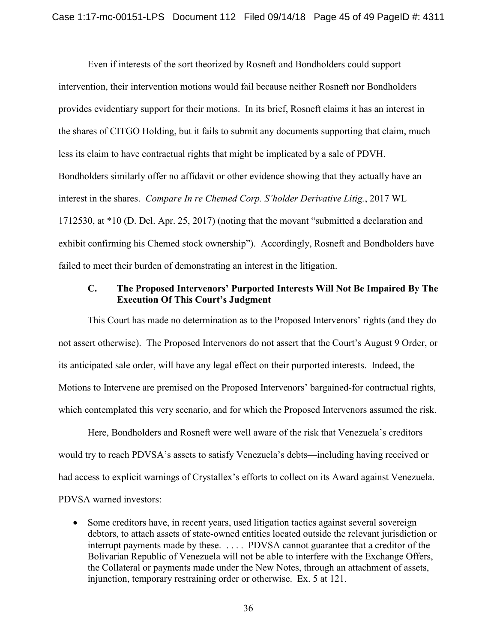Even if interests of the sort theorized by Rosneft and Bondholders could support intervention, their intervention motions would fail because neither Rosneft nor Bondholders provides evidentiary support for their motions. In its brief, Rosneft claims it has an interest in the shares of CITGO Holding, but it fails to submit any documents supporting that claim, much less its claim to have contractual rights that might be implicated by a sale of PDVH. Bondholders similarly offer no affidavit or other evidence showing that they actually have an interest in the shares. *Compare In re Chemed Corp. S'holder Derivative Litig.*, 2017 WL 1712530, at \*10 (D. Del. Apr. 25, 2017) (noting that the movant "submitted a declaration and exhibit confirming his Chemed stock ownership"). Accordingly, Rosneft and Bondholders have failed to meet their burden of demonstrating an interest in the litigation.

## <span id="page-44-0"></span>**C. The Proposed Intervenors' Purported Interests Will Not Be Impaired By The Execution Of This Court's Judgment**

This Court has made no determination as to the Proposed Intervenors' rights (and they do not assert otherwise). The Proposed Intervenors do not assert that the Court's August 9 Order, or its anticipated sale order, will have any legal effect on their purported interests. Indeed, the Motions to Intervene are premised on the Proposed Intervenors' bargained-for contractual rights, which contemplated this very scenario, and for which the Proposed Intervenors assumed the risk.

Here, Bondholders and Rosneft were well aware of the risk that Venezuela's creditors would try to reach PDVSA's assets to satisfy Venezuela's debts—including having received or had access to explicit warnings of Crystallex's efforts to collect on its Award against Venezuela. PDVSA warned investors:

• Some creditors have, in recent years, used litigation tactics against several sovereign debtors, to attach assets of state-owned entities located outside the relevant jurisdiction or interrupt payments made by these. . . . . PDVSA cannot guarantee that a creditor of the Bolivarian Republic of Venezuela will not be able to interfere with the Exchange Offers, the Collateral or payments made under the New Notes, through an attachment of assets, injunction, temporary restraining order or otherwise. Ex. 5 at 121.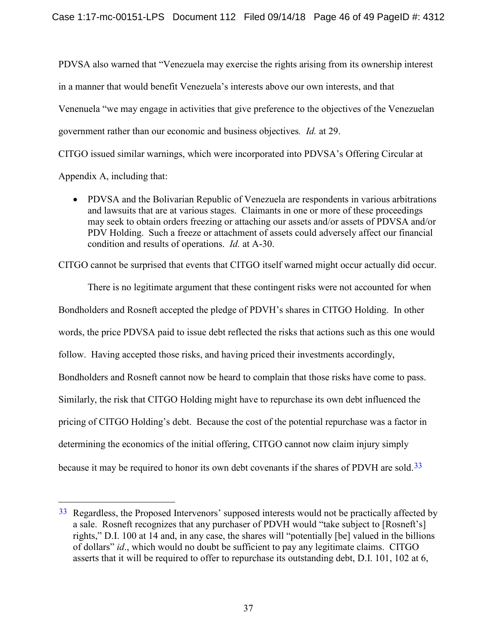PDVSA also warned that "Venezuela may exercise the rights arising from its ownership interest in a manner that would benefit Venezuela's interests above our own interests, and that Venenuela "we may engage in activities that give preference to the objectives of the Venezuelan government rather than our economic and business objectives*. Id.* at 29.

CITGO issued similar warnings, which were incorporated into PDVSA's Offering Circular at

Appendix A, including that:

• PDVSA and the Bolivarian Republic of Venezuela are respondents in various arbitrations and lawsuits that are at various stages. Claimants in one or more of these proceedings may seek to obtain orders freezing or attaching our assets and/or assets of PDVSA and/or PDV Holding. Such a freeze or attachment of assets could adversely affect our financial condition and results of operations. *Id.* at A-30.

CITGO cannot be surprised that events that CITGO itself warned might occur actually did occur.

There is no legitimate argument that these contingent risks were not accounted for when Bondholders and Rosneft accepted the pledge of PDVH's shares in CITGO Holding. In other words, the price PDVSA paid to issue debt reflected the risks that actions such as this one would follow. Having accepted those risks, and having priced their investments accordingly, Bondholders and Rosneft cannot now be heard to complain that those risks have come to pass. Similarly, the risk that CITGO Holding might have to repurchase its own debt influenced the pricing of CITGO Holding's debt. Because the cost of the potential repurchase was a factor in determining the economics of the initial offering, CITGO cannot now claim injury simply because it may be required to honor its own debt covenants if the shares of PDVH are sold.[33](#page-45-0)

<span id="page-45-0"></span> $33$  Regardless, the Proposed Intervenors' supposed interests would not be practically affected by a sale. Rosneft recognizes that any purchaser of PDVH would "take subject to [Rosneft's] rights," D.I. 100 at 14 and, in any case, the shares will "potentially [be] valued in the billions of dollars" *id*., which would no doubt be sufficient to pay any legitimate claims. CITGO asserts that it will be required to offer to repurchase its outstanding debt, D.I. 101, 102 at 6,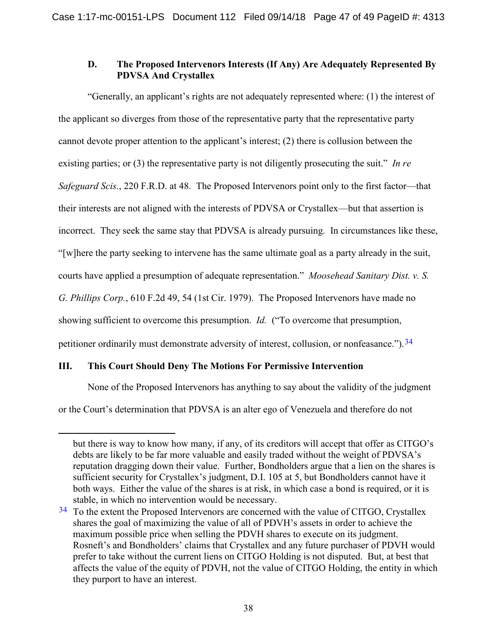## <span id="page-46-1"></span>**D. The Proposed Intervenors Interests (If Any) Are Adequately Represented By PDVSA And Crystallex**

"Generally, an applicant's rights are not adequately represented where: (1) the interest of the applicant so diverges from those of the representative party that the representative party cannot devote proper attention to the applicant's interest; (2) there is collusion between the existing parties; or (3) the representative party is not diligently prosecuting the suit." *In re Safeguard Scis.*, 220 F.R.D. at 48. The Proposed Intervenors point only to the first factor—that their interests are not aligned with the interests of PDVSA or Crystallex—but that assertion is incorrect. They seek the same stay that PDVSA is already pursuing. In circumstances like these, "[w]here the party seeking to intervene has the same ultimate goal as a party already in the suit, courts have applied a presumption of adequate representation." *Moosehead Sanitary Dist. v. S. G. Phillips Corp.*, 610 F.2d 49, 54 (1st Cir. 1979). The Proposed Intervenors have made no showing sufficient to overcome this presumption. *Id.* ("To overcome that presumption, petitioner ordinarily must demonstrate adversity of interest, collusion, or nonfeasance.").<sup>34</sup>

## **III. This Court Should Deny The Motions For Permissive Intervention**

 $\overline{a}$ 

<span id="page-46-0"></span>None of the Proposed Intervenors has anything to say about the validity of the judgment

or the Court's determination that PDVSA is an alter ego of Venezuela and therefore do not

but there is way to know how many, if any, of its creditors will accept that offer as CITGO's debts are likely to be far more valuable and easily traded without the weight of PDVSA's reputation dragging down their value. Further, Bondholders argue that a lien on the shares is sufficient security for Crystallex's judgment, D.I. 105 at 5, but Bondholders cannot have it both ways. Either the value of the shares is at risk, in which case a bond is required, or it is stable, in which no intervention would be necessary.

<span id="page-46-2"></span> $34$  To the extent the Proposed Intervenors are concerned with the value of CITGO, Crystallex shares the goal of maximizing the value of all of PDVH's assets in order to achieve the maximum possible price when selling the PDVH shares to execute on its judgment. Rosneft's and Bondholders' claims that Crystallex and any future purchaser of PDVH would prefer to take without the current liens on CITGO Holding is not disputed. But, at best that affects the value of the equity of PDVH, not the value of CITGO Holding, the entity in which they purport to have an interest.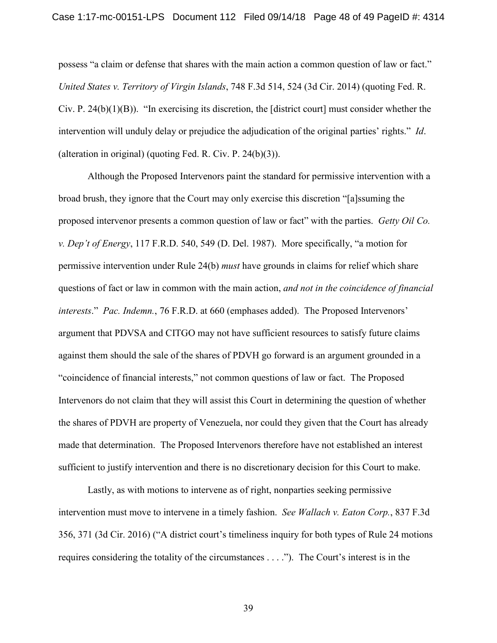<span id="page-47-3"></span><span id="page-47-1"></span>possess "a claim or defense that shares with the main action a common question of law or fact." *United States v. Territory of Virgin Islands*, 748 F.3d 514, 524 (3d Cir. 2014) (quoting Fed. R. Civ. P. 24(b)(1)(B)). "In exercising its discretion, the [district court] must consider whether the intervention will unduly delay or prejudice the adjudication of the original parties' rights." *Id*. (alteration in original) (quoting Fed. R. Civ. P. 24(b)(3)).

<span id="page-47-4"></span><span id="page-47-0"></span>Although the Proposed Intervenors paint the standard for permissive intervention with a broad brush, they ignore that the Court may only exercise this discretion "[a]ssuming the proposed intervenor presents a common question of law or fact" with the parties. *Getty Oil Co. v. Dep't of Energy*, 117 F.R.D. 540, 549 (D. Del. 1987). More specifically, "a motion for permissive intervention under Rule 24(b) *must* have grounds in claims for relief which share questions of fact or law in common with the main action, *and not in the coincidence of financial interests*." *Pac. Indemn.*, 76 F.R.D. at 660 (emphases added). The Proposed Intervenors' argument that PDVSA and CITGO may not have sufficient resources to satisfy future claims against them should the sale of the shares of PDVH go forward is an argument grounded in a "coincidence of financial interests," not common questions of law or fact. The Proposed Intervenors do not claim that they will assist this Court in determining the question of whether the shares of PDVH are property of Venezuela, nor could they given that the Court has already made that determination. The Proposed Intervenors therefore have not established an interest sufficient to justify intervention and there is no discretionary decision for this Court to make.

<span id="page-47-2"></span>Lastly, as with motions to intervene as of right, nonparties seeking permissive intervention must move to intervene in a timely fashion. *See Wallach v. Eaton Corp.*, 837 F.3d 356, 371 (3d Cir. 2016) ("A district court's timeliness inquiry for both types of Rule 24 motions requires considering the totality of the circumstances . . . ."). The Court's interest is in the